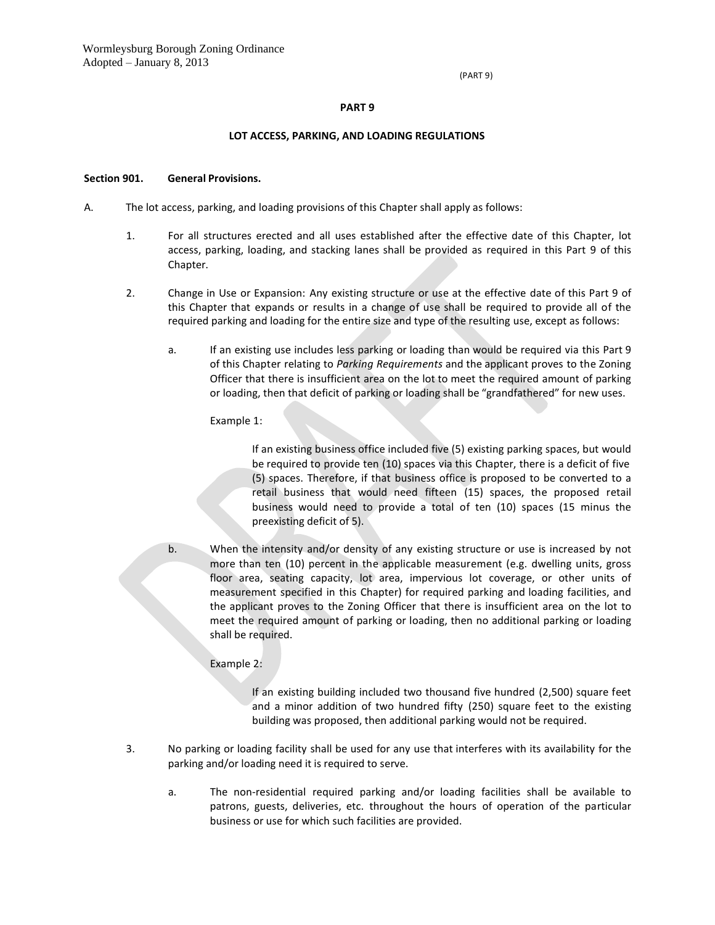(PART 9)

## **PART 9**

### **LOT ACCESS, PARKING, AND LOADING REGULATIONS**

#### **Section 901. General Provisions.**

- A. The lot access, parking, and loading provisions of this Chapter shall apply as follows:
	- 1. For all structures erected and all uses established after the effective date of this Chapter, lot access, parking, loading, and stacking lanes shall be provided as required in this Part 9 of this Chapter.
	- 2. Change in Use or Expansion: Any existing structure or use at the effective date of this Part 9 of this Chapter that expands or results in a change of use shall be required to provide all of the required parking and loading for the entire size and type of the resulting use, except as follows:
		- a. If an existing use includes less parking or loading than would be required via this Part 9 of this Chapter relating to *Parking Requirements* and the applicant proves to the Zoning Officer that there is insufficient area on the lot to meet the required amount of parking or loading, then that deficit of parking or loading shall be "grandfathered" for new uses.

## Example 1:

If an existing business office included five (5) existing parking spaces, but would be required to provide ten (10) spaces via this Chapter, there is a deficit of five (5) spaces. Therefore, if that business office is proposed to be converted to a retail business that would need fifteen (15) spaces, the proposed retail business would need to provide a total of ten (10) spaces (15 minus the preexisting deficit of 5).

b. When the intensity and/or density of any existing structure or use is increased by not more than ten (10) percent in the applicable measurement (e.g. dwelling units, gross floor area, seating capacity, lot area, impervious lot coverage, or other units of measurement specified in this Chapter) for required parking and loading facilities, and the applicant proves to the Zoning Officer that there is insufficient area on the lot to meet the required amount of parking or loading, then no additional parking or loading shall be required.

## Example 2:

If an existing building included two thousand five hundred (2,500) square feet and a minor addition of two hundred fifty (250) square feet to the existing building was proposed, then additional parking would not be required.

- 3. No parking or loading facility shall be used for any use that interferes with its availability for the parking and/or loading need it is required to serve.
	- a. The non-residential required parking and/or loading facilities shall be available to patrons, guests, deliveries, etc. throughout the hours of operation of the particular business or use for which such facilities are provided.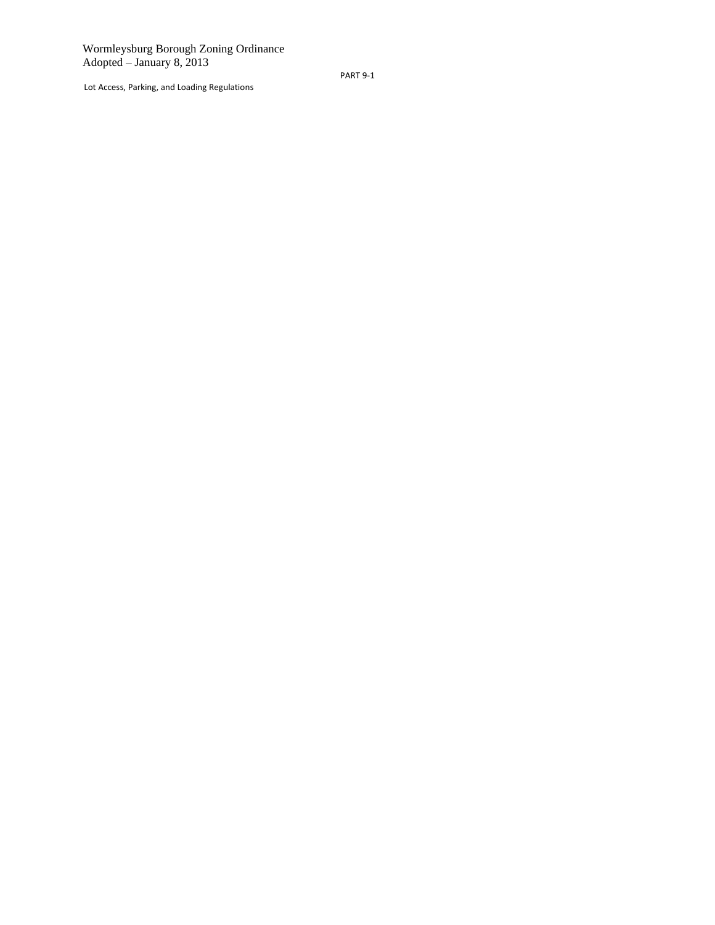Lot Access, Parking, and Loading Regulations

PART 9-1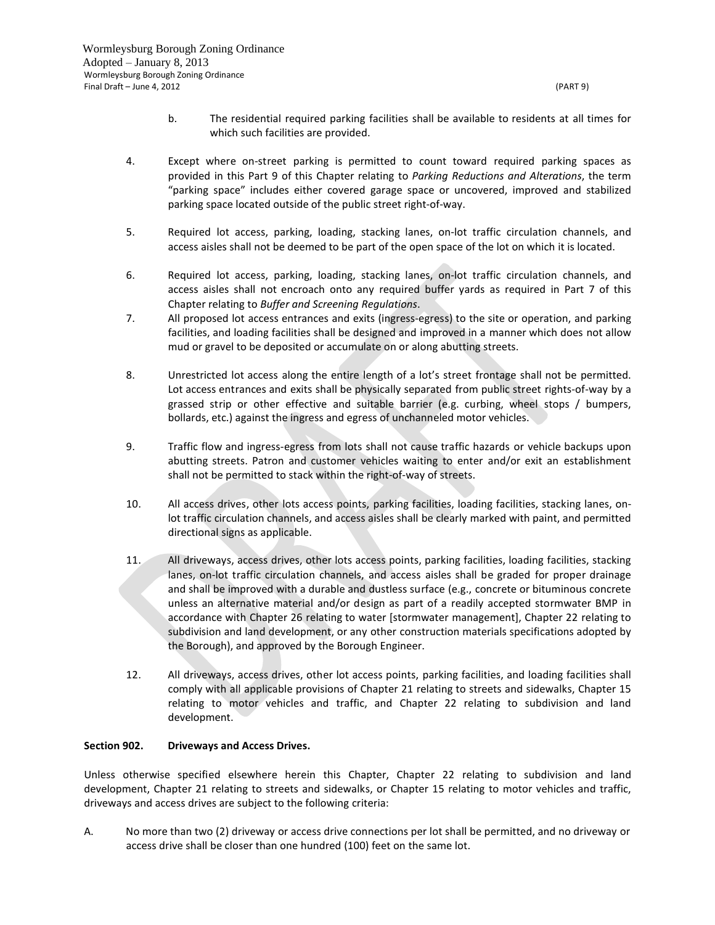- b. The residential required parking facilities shall be available to residents at all times for which such facilities are provided.
- 4. Except where on-street parking is permitted to count toward required parking spaces as provided in this Part 9 of this Chapter relating to *Parking Reductions and Alterations*, the term "parking space" includes either covered garage space or uncovered, improved and stabilized parking space located outside of the public street right-of-way.
- 5. Required lot access, parking, loading, stacking lanes, on-lot traffic circulation channels, and access aisles shall not be deemed to be part of the open space of the lot on which it is located.
- 6. Required lot access, parking, loading, stacking lanes, on-lot traffic circulation channels, and access aisles shall not encroach onto any required buffer yards as required in Part 7 of this Chapter relating to *Buffer and Screening Regulations*.
- 7. All proposed lot access entrances and exits (ingress-egress) to the site or operation, and parking facilities, and loading facilities shall be designed and improved in a manner which does not allow mud or gravel to be deposited or accumulate on or along abutting streets.
- 8. Unrestricted lot access along the entire length of a lot's street frontage shall not be permitted. Lot access entrances and exits shall be physically separated from public street rights-of-way by a grassed strip or other effective and suitable barrier (e.g. curbing, wheel stops / bumpers, bollards, etc.) against the ingress and egress of unchanneled motor vehicles.
- 9. Traffic flow and ingress-egress from lots shall not cause traffic hazards or vehicle backups upon abutting streets. Patron and customer vehicles waiting to enter and/or exit an establishment shall not be permitted to stack within the right-of-way of streets.
- 10. All access drives, other lots access points, parking facilities, loading facilities, stacking lanes, onlot traffic circulation channels, and access aisles shall be clearly marked with paint, and permitted directional signs as applicable.
- 11. All driveways, access drives, other lots access points, parking facilities, loading facilities, stacking lanes, on-lot traffic circulation channels, and access aisles shall be graded for proper drainage and shall be improved with a durable and dustless surface (e.g., concrete or bituminous concrete unless an alternative material and/or design as part of a readily accepted stormwater BMP in accordance with Chapter 26 relating to water [stormwater management], Chapter 22 relating to subdivision and land development, or any other construction materials specifications adopted by the Borough), and approved by the Borough Engineer.
- 12. All driveways, access drives, other lot access points, parking facilities, and loading facilities shall comply with all applicable provisions of Chapter 21 relating to streets and sidewalks, Chapter 15 relating to motor vehicles and traffic, and Chapter 22 relating to subdivision and land development.

## **Section 902. Driveways and Access Drives.**

Unless otherwise specified elsewhere herein this Chapter, Chapter 22 relating to subdivision and land development, Chapter 21 relating to streets and sidewalks, or Chapter 15 relating to motor vehicles and traffic, driveways and access drives are subject to the following criteria:

A. No more than two (2) driveway or access drive connections per lot shall be permitted, and no driveway or access drive shall be closer than one hundred (100) feet on the same lot.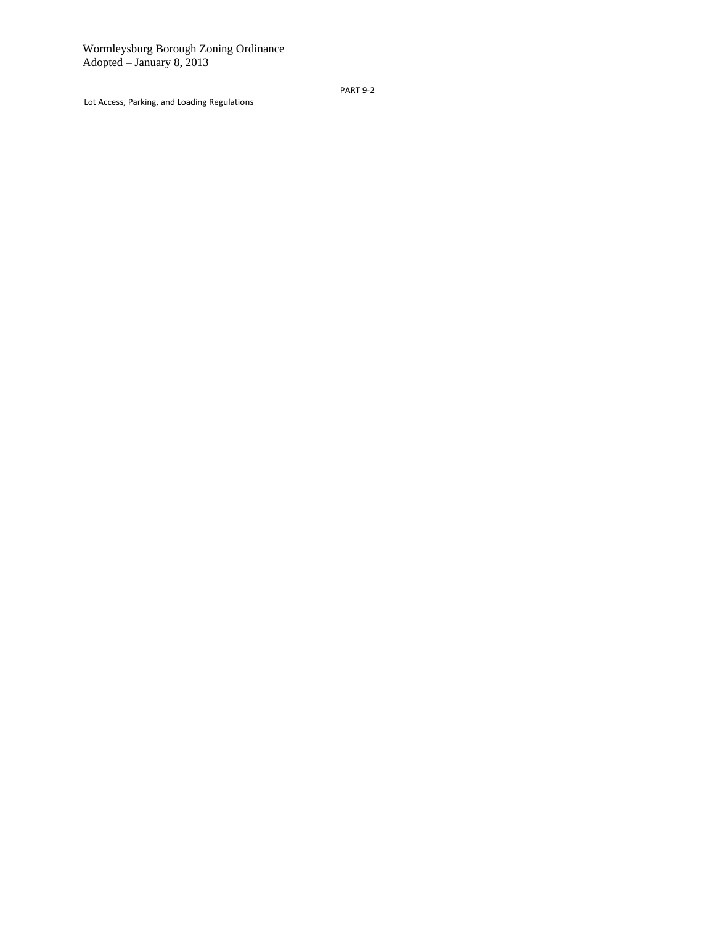PART 9-2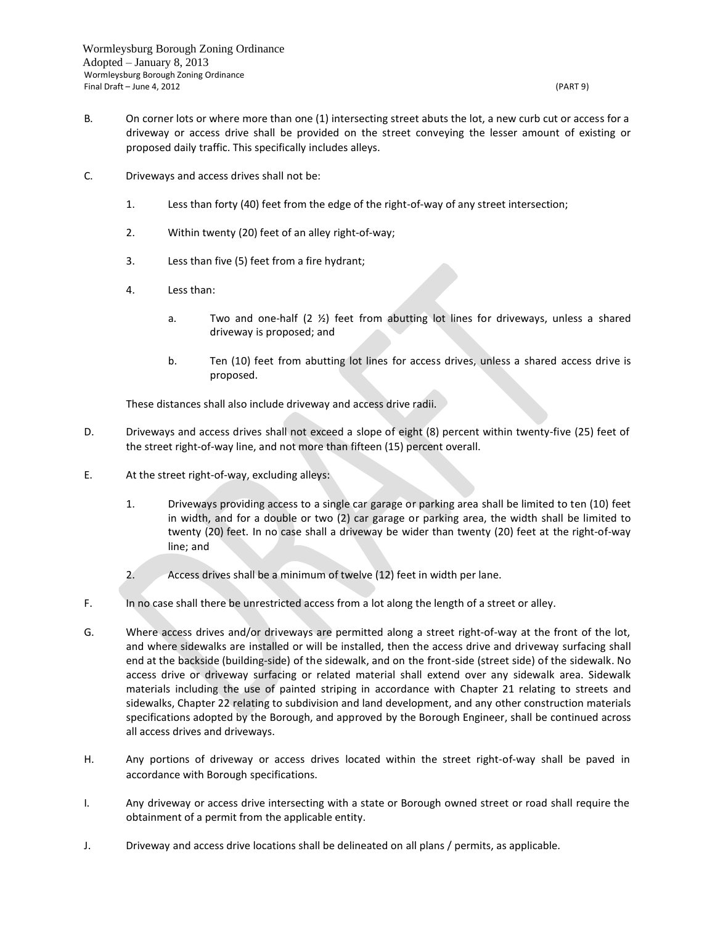- B. On corner lots or where more than one (1) intersecting street abuts the lot, a new curb cut or access for a driveway or access drive shall be provided on the street conveying the lesser amount of existing or proposed daily traffic. This specifically includes alleys.
- C. Driveways and access drives shall not be:
	- 1. Less than forty (40) feet from the edge of the right-of-way of any street intersection;
	- 2. Within twenty (20) feet of an alley right-of-way;
	- 3. Less than five (5) feet from a fire hydrant;
	- 4. Less than:
		- a. Two and one-half  $(2 \frac{1}{2})$  feet from abutting lot lines for driveways, unless a shared driveway is proposed; and
		- b. Ten (10) feet from abutting lot lines for access drives, unless a shared access drive is proposed.

These distances shall also include driveway and access drive radii.

- D. Driveways and access drives shall not exceed a slope of eight (8) percent within twenty-five (25) feet of the street right-of-way line, and not more than fifteen (15) percent overall.
- E. At the street right-of-way, excluding alleys:
	- 1. Driveways providing access to a single car garage or parking area shall be limited to ten (10) feet in width, and for a double or two (2) car garage or parking area, the width shall be limited to twenty (20) feet. In no case shall a driveway be wider than twenty (20) feet at the right-of-way line; and
	- 2. Access drives shall be a minimum of twelve (12) feet in width per lane.
- F. In no case shall there be unrestricted access from a lot along the length of a street or alley.
- G. Where access drives and/or driveways are permitted along a street right-of-way at the front of the lot, and where sidewalks are installed or will be installed, then the access drive and driveway surfacing shall end at the backside (building-side) of the sidewalk, and on the front-side (street side) of the sidewalk. No access drive or driveway surfacing or related material shall extend over any sidewalk area. Sidewalk materials including the use of painted striping in accordance with Chapter 21 relating to streets and sidewalks, Chapter 22 relating to subdivision and land development, and any other construction materials specifications adopted by the Borough, and approved by the Borough Engineer, shall be continued across all access drives and driveways.
- H. Any portions of driveway or access drives located within the street right-of-way shall be paved in accordance with Borough specifications.
- I. Any driveway or access drive intersecting with a state or Borough owned street or road shall require the obtainment of a permit from the applicable entity.
- J. Driveway and access drive locations shall be delineated on all plans / permits, as applicable.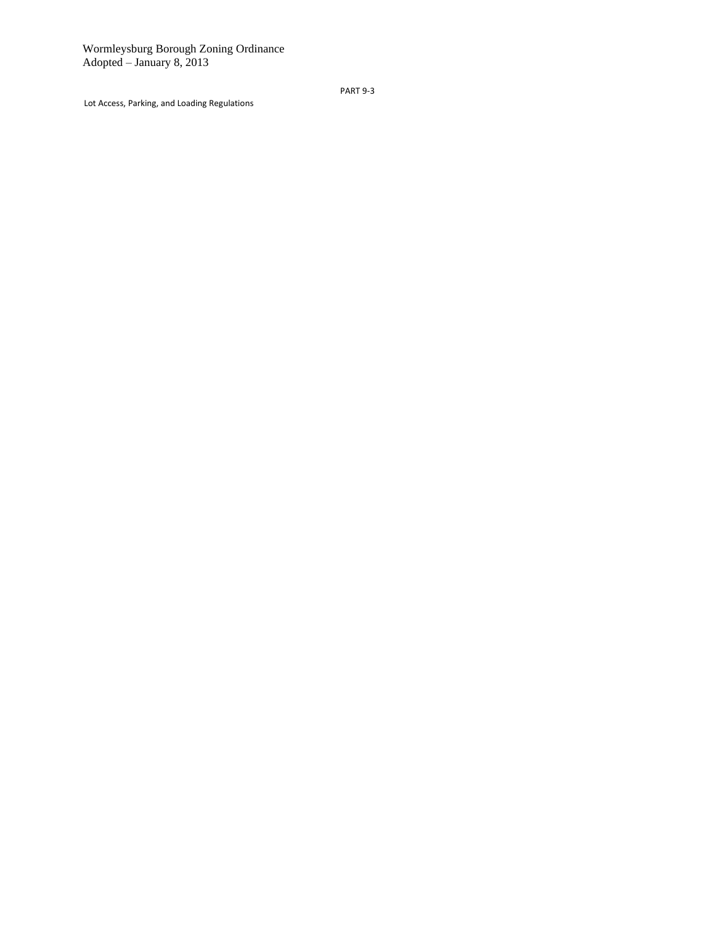PART 9-3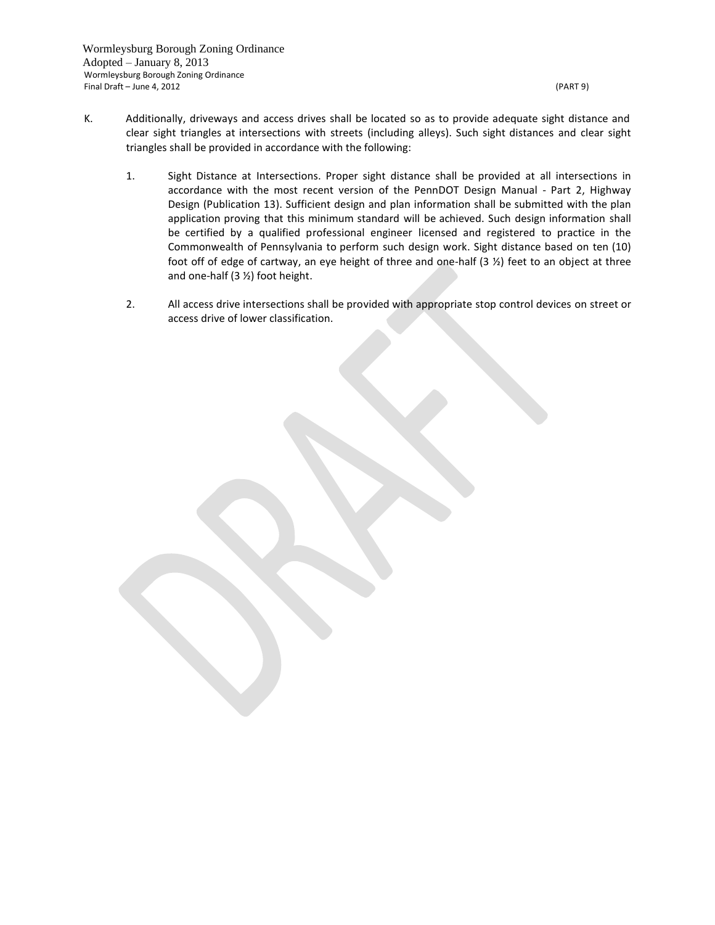- K. Additionally, driveways and access drives shall be located so as to provide adequate sight distance and clear sight triangles at intersections with streets (including alleys). Such sight distances and clear sight triangles shall be provided in accordance with the following:
	- 1. Sight Distance at Intersections. Proper sight distance shall be provided at all intersections in accordance with the most recent version of the PennDOT Design Manual - Part 2, Highway Design (Publication 13). Sufficient design and plan information shall be submitted with the plan application proving that this minimum standard will be achieved. Such design information shall be certified by a qualified professional engineer licensed and registered to practice in the Commonwealth of Pennsylvania to perform such design work. Sight distance based on ten (10) foot off of edge of cartway, an eye height of three and one-half (3 ½) feet to an object at three and one-half (3 ½) foot height.
	- 2. All access drive intersections shall be provided with appropriate stop control devices on street or access drive of lower classification.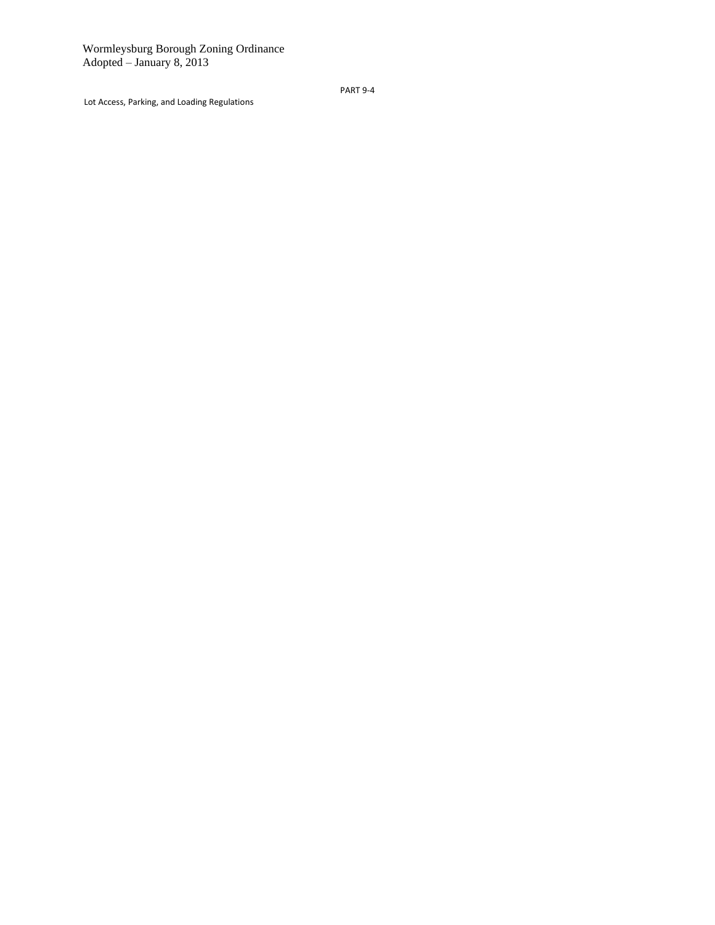PART 9-4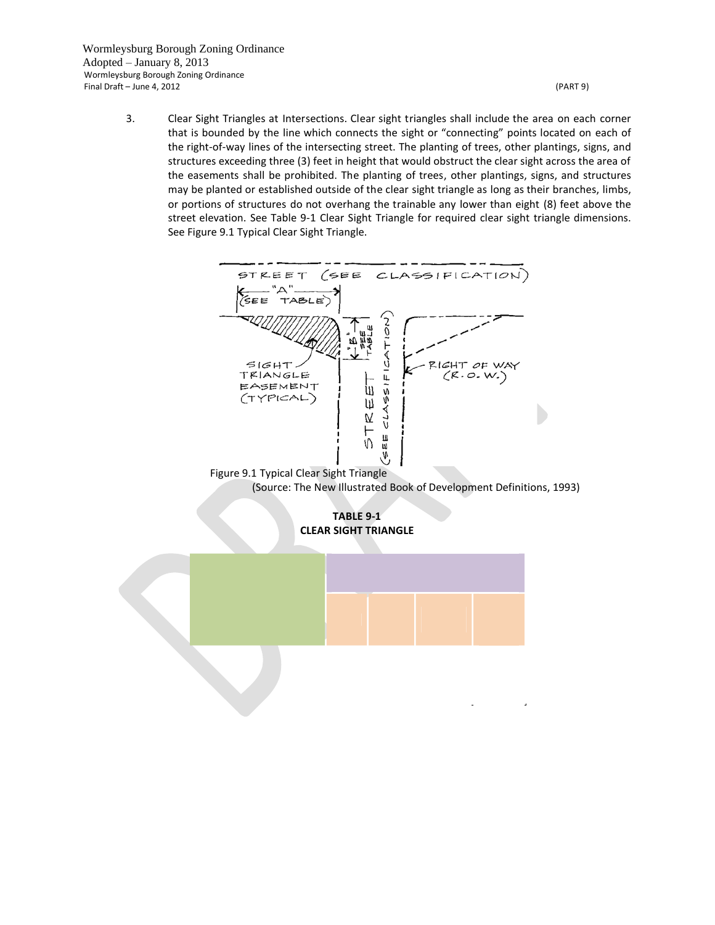Wormleysburg Borough Zoning Ordinance Adopted – January 8, 2013 Wormleysburg Borough Zoning Ordinance Final Draft – June 4, 2012 (PART 9)

3. Clear Sight Triangles at Intersections. Clear sight triangles shall include the area on each corner that is bounded by the line which connects the sight or "connecting" points located on each of the right-of-way lines of the intersecting street. The planting of trees, other plantings, signs, and structures exceeding three (3) feet in height that would obstruct the clear sight across the area of the easements shall be prohibited. The planting of trees, other plantings, signs, and structures may be planted or established outside of the clear sight triangle as long as their branches, limbs, or portions of structures do not overhang the trainable any lower than eight (8) feet above the street elevation. See Table 9-1 Clear Sight Triangle for required clear sight triangle dimensions. See Figure 9.1 Typical Clear Sight Triangle.

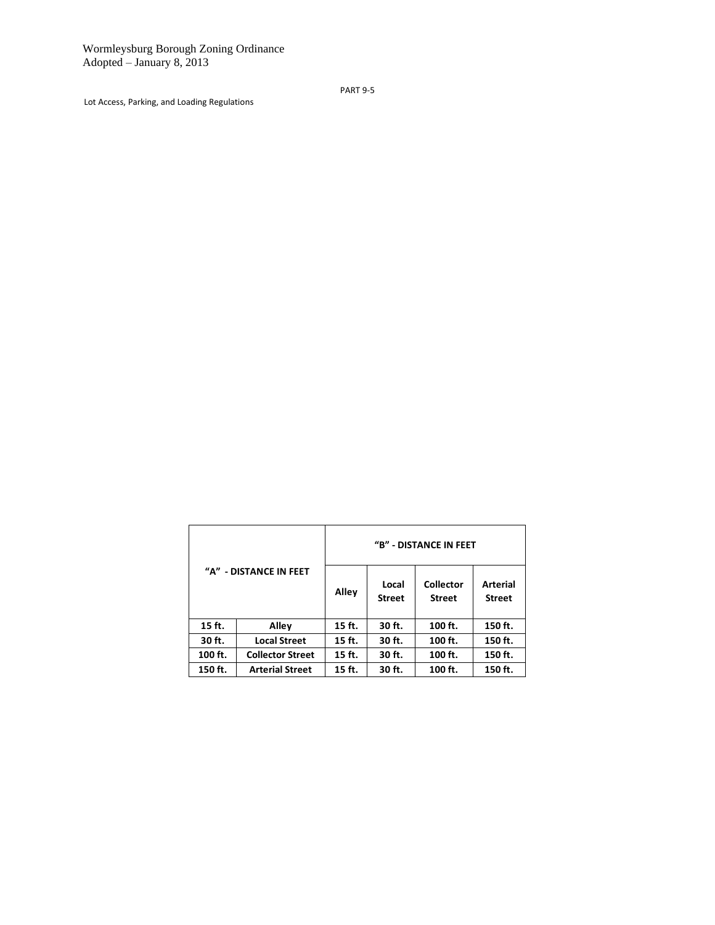PART 9-5

| "A" - DISTANCE IN FEET |                         |        |                        | "B" - DISTANCE IN FEET     |                                  |
|------------------------|-------------------------|--------|------------------------|----------------------------|----------------------------------|
|                        |                         | Alley  | Local<br><b>Street</b> | Collector<br><b>Street</b> | <b>Arterial</b><br><b>Street</b> |
| 15 ft.                 | Alley                   | 15 ft. | 30 ft.                 | 100 $ft.$                  | 150 ft.                          |
| 30 ft.                 | <b>Local Street</b>     | 15 ft. | 30 ft.                 | 100 ft.                    | 150 ft.                          |
| 100 ft.                | <b>Collector Street</b> | 15 ft. | 30 ft.                 | 100 ft.                    | 150 ft.                          |
| 150 ft.                | <b>Arterial Street</b>  | 15 ft. | 30 ft.                 | 100 ft.                    | 150 ft.                          |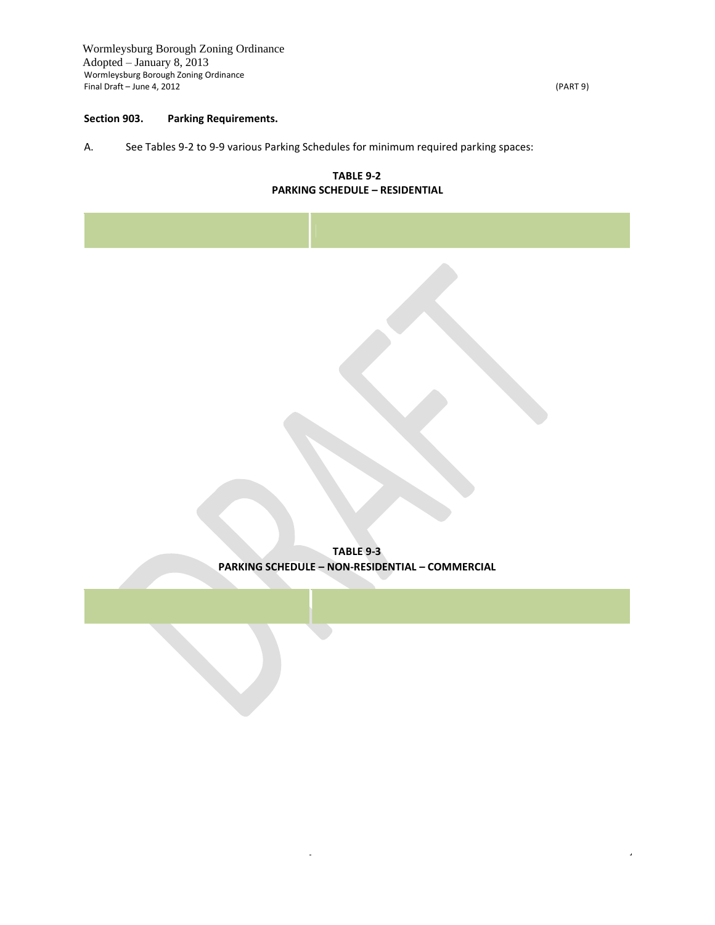Wormleysburg Borough Zoning Ordinance Adopted – January 8, 2013 Wormleysburg Borough Zoning Ordinance Final Draft – June 4, 2012 (PART 9)

# **Section 903. Parking Requirements.**

A. See Tables 9-2 to 9-9 various Parking Schedules for minimum required parking spaces:

**TABLE 9-2 PARKING SCHEDULE – RESIDENTIAL**

**TABLE 9-3 PARKING SCHEDULE – NON-RESIDENTIAL – COMMERCIAL**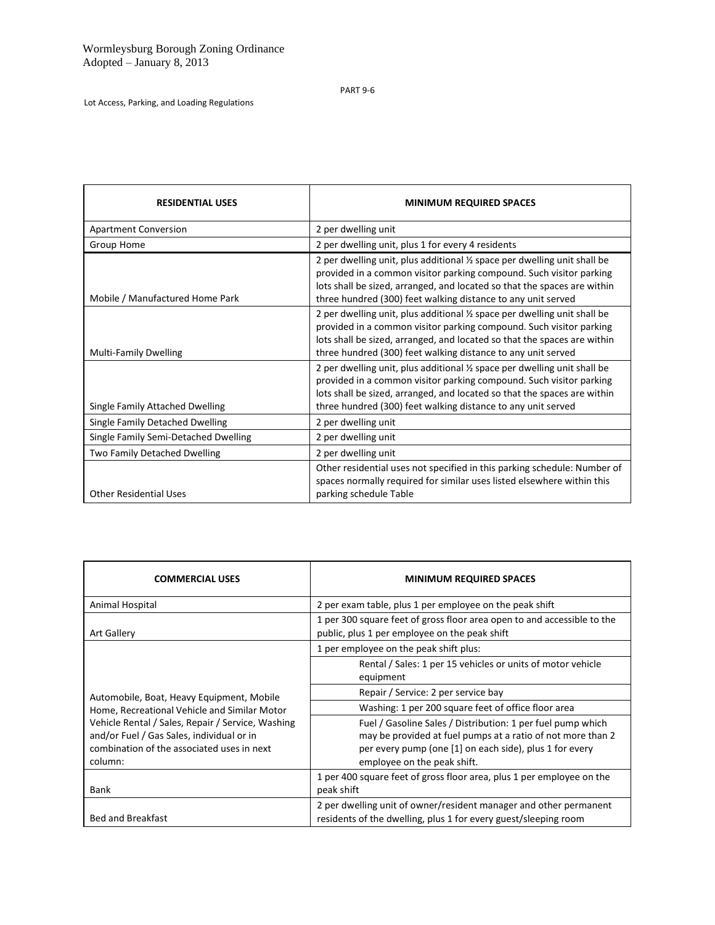PART 9-6

| <b>RESIDENTIAL USES</b>              | <b>MINIMUM REQUIRED SPACES</b>                                                                                                                                                                                                                                                               |
|--------------------------------------|----------------------------------------------------------------------------------------------------------------------------------------------------------------------------------------------------------------------------------------------------------------------------------------------|
| <b>Apartment Conversion</b>          | 2 per dwelling unit                                                                                                                                                                                                                                                                          |
| Group Home                           | 2 per dwelling unit, plus 1 for every 4 residents                                                                                                                                                                                                                                            |
| Mobile / Manufactured Home Park      | 2 per dwelling unit, plus additional 1/2 space per dwelling unit shall be<br>provided in a common visitor parking compound. Such visitor parking<br>lots shall be sized, arranged, and located so that the spaces are within<br>three hundred (300) feet walking distance to any unit served |
| <b>Multi-Family Dwelling</b>         | 2 per dwelling unit, plus additional 1/2 space per dwelling unit shall be<br>provided in a common visitor parking compound. Such visitor parking<br>lots shall be sized, arranged, and located so that the spaces are within<br>three hundred (300) feet walking distance to any unit served |
| Single Family Attached Dwelling      | 2 per dwelling unit, plus additional 1/2 space per dwelling unit shall be<br>provided in a common visitor parking compound. Such visitor parking<br>lots shall be sized, arranged, and located so that the spaces are within<br>three hundred (300) feet walking distance to any unit served |
| Single Family Detached Dwelling      | 2 per dwelling unit                                                                                                                                                                                                                                                                          |
| Single Family Semi-Detached Dwelling | 2 per dwelling unit                                                                                                                                                                                                                                                                          |
| Two Family Detached Dwelling         | 2 per dwelling unit                                                                                                                                                                                                                                                                          |
| <b>Other Residential Uses</b>        | Other residential uses not specified in this parking schedule: Number of<br>spaces normally required for similar uses listed elsewhere within this<br>parking schedule Table                                                                                                                 |

| <b>COMMERCIAL USES</b>                                                                                                                                                                                  | <b>MINIMUM REQUIRED SPACES</b>                                                                                                                                                                                       |
|---------------------------------------------------------------------------------------------------------------------------------------------------------------------------------------------------------|----------------------------------------------------------------------------------------------------------------------------------------------------------------------------------------------------------------------|
| Animal Hospital                                                                                                                                                                                         | 2 per exam table, plus 1 per employee on the peak shift                                                                                                                                                              |
| Art Gallery                                                                                                                                                                                             | 1 per 300 square feet of gross floor area open to and accessible to the<br>public, plus 1 per employee on the peak shift                                                                                             |
|                                                                                                                                                                                                         | 1 per employee on the peak shift plus:                                                                                                                                                                               |
|                                                                                                                                                                                                         | Rental / Sales: 1 per 15 vehicles or units of motor vehicle<br>equipment                                                                                                                                             |
| Automobile, Boat, Heavy Equipment, Mobile                                                                                                                                                               | Repair / Service: 2 per service bay                                                                                                                                                                                  |
| Home, Recreational Vehicle and Similar Motor<br>Vehicle Rental / Sales, Repair / Service, Washing<br>and/or Fuel / Gas Sales, individual or in<br>combination of the associated uses in next<br>column: | Washing: 1 per 200 square feet of office floor area                                                                                                                                                                  |
|                                                                                                                                                                                                         | Fuel / Gasoline Sales / Distribution: 1 per fuel pump which<br>may be provided at fuel pumps at a ratio of not more than 2<br>per every pump (one [1] on each side), plus 1 for every<br>employee on the peak shift. |
| Bank                                                                                                                                                                                                    | 1 per 400 square feet of gross floor area, plus 1 per employee on the<br>peak shift                                                                                                                                  |
| <b>Bed and Breakfast</b>                                                                                                                                                                                | 2 per dwelling unit of owner/resident manager and other permanent<br>residents of the dwelling, plus 1 for every guest/sleeping room                                                                                 |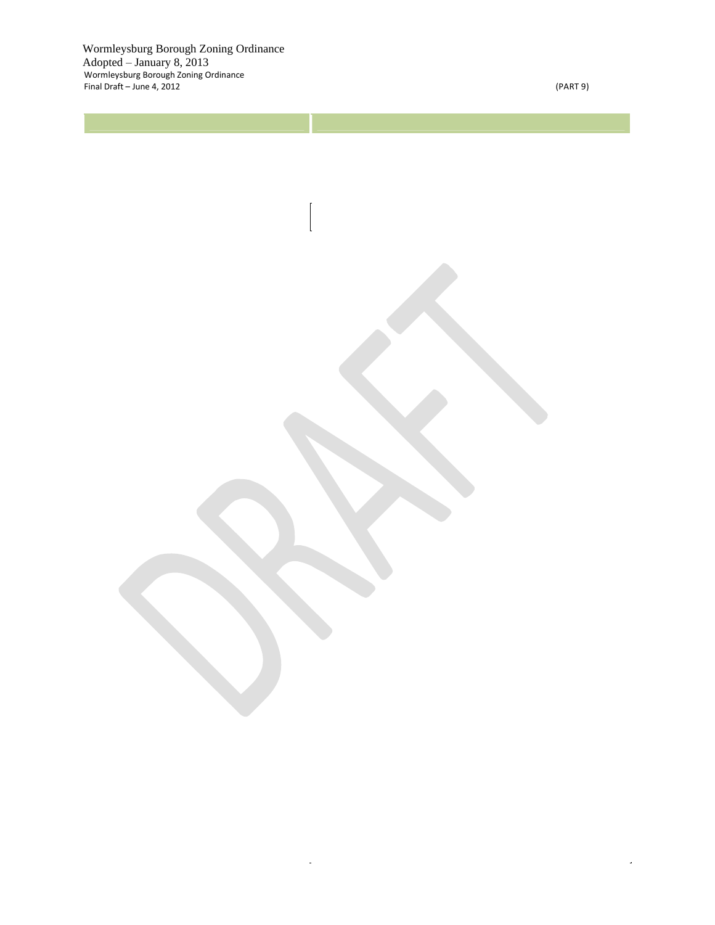(PART 9 )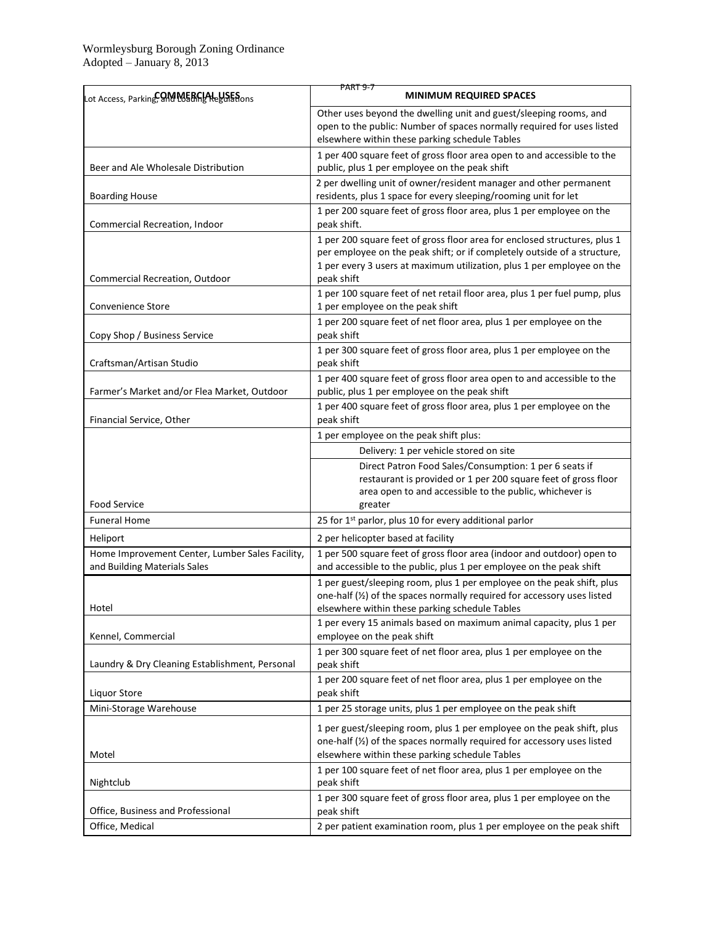| Lot Access, Parking, and MERGIALUSES            | <b>PART 9-7</b><br><b>MINIMUM REQUIRED SPACES</b>                                                                                                  |
|-------------------------------------------------|----------------------------------------------------------------------------------------------------------------------------------------------------|
|                                                 | Other uses beyond the dwelling unit and guest/sleeping rooms, and                                                                                  |
|                                                 | open to the public: Number of spaces normally required for uses listed<br>elsewhere within these parking schedule Tables                           |
|                                                 | 1 per 400 square feet of gross floor area open to and accessible to the                                                                            |
| Beer and Ale Wholesale Distribution             | public, plus 1 per employee on the peak shift                                                                                                      |
|                                                 | 2 per dwelling unit of owner/resident manager and other permanent                                                                                  |
| <b>Boarding House</b>                           | residents, plus 1 space for every sleeping/rooming unit for let                                                                                    |
| Commercial Recreation, Indoor                   | 1 per 200 square feet of gross floor area, plus 1 per employee on the<br>peak shift.                                                               |
|                                                 | 1 per 200 square feet of gross floor area for enclosed structures, plus 1                                                                          |
|                                                 | per employee on the peak shift; or if completely outside of a structure,                                                                           |
|                                                 | 1 per every 3 users at maximum utilization, plus 1 per employee on the                                                                             |
| Commercial Recreation, Outdoor                  | peak shift                                                                                                                                         |
| <b>Convenience Store</b>                        | 1 per 100 square feet of net retail floor area, plus 1 per fuel pump, plus<br>1 per employee on the peak shift                                     |
|                                                 | 1 per 200 square feet of net floor area, plus 1 per employee on the                                                                                |
| Copy Shop / Business Service                    | peak shift                                                                                                                                         |
|                                                 | 1 per 300 square feet of gross floor area, plus 1 per employee on the                                                                              |
| Craftsman/Artisan Studio                        | peak shift                                                                                                                                         |
|                                                 | 1 per 400 square feet of gross floor area open to and accessible to the                                                                            |
| Farmer's Market and/or Flea Market, Outdoor     | public, plus 1 per employee on the peak shift                                                                                                      |
| Financial Service, Other                        | 1 per 400 square feet of gross floor area, plus 1 per employee on the<br>peak shift                                                                |
|                                                 | 1 per employee on the peak shift plus:                                                                                                             |
|                                                 | Delivery: 1 per vehicle stored on site                                                                                                             |
|                                                 | Direct Patron Food Sales/Consumption: 1 per 6 seats if                                                                                             |
|                                                 | restaurant is provided or 1 per 200 square feet of gross floor                                                                                     |
|                                                 | area open to and accessible to the public, whichever is                                                                                            |
| <b>Food Service</b>                             | greater                                                                                                                                            |
| <b>Funeral Home</b>                             | 25 for 1 <sup>st</sup> parlor, plus 10 for every additional parlor                                                                                 |
| Heliport                                        | 2 per helicopter based at facility                                                                                                                 |
| Home Improvement Center, Lumber Sales Facility, | 1 per 500 square feet of gross floor area (indoor and outdoor) open to                                                                             |
| and Building Materials Sales                    | and accessible to the public, plus 1 per employee on the peak shift                                                                                |
|                                                 | 1 per guest/sleeping room, plus 1 per employee on the peak shift, plus<br>one-half (1/2) of the spaces normally required for accessory uses listed |
| Hotel                                           | elsewhere within these parking schedule Tables                                                                                                     |
|                                                 | 1 per every 15 animals based on maximum animal capacity, plus 1 per                                                                                |
| Kennel, Commercial                              | employee on the peak shift                                                                                                                         |
|                                                 | 1 per 300 square feet of net floor area, plus 1 per employee on the                                                                                |
| Laundry & Dry Cleaning Establishment, Personal  | peak shift                                                                                                                                         |
|                                                 | 1 per 200 square feet of net floor area, plus 1 per employee on the                                                                                |
| Liquor Store<br>Mini-Storage Warehouse          | peak shift<br>1 per 25 storage units, plus 1 per employee on the peak shift                                                                        |
|                                                 |                                                                                                                                                    |
|                                                 | 1 per guest/sleeping room, plus 1 per employee on the peak shift, plus<br>one-half (1/2) of the spaces normally required for accessory uses listed |
| Motel                                           | elsewhere within these parking schedule Tables                                                                                                     |
|                                                 | 1 per 100 square feet of net floor area, plus 1 per employee on the                                                                                |
| Nightclub                                       | peak shift                                                                                                                                         |
|                                                 | 1 per 300 square feet of gross floor area, plus 1 per employee on the                                                                              |
| Office, Business and Professional               | peak shift                                                                                                                                         |
| Office, Medical                                 | 2 per patient examination room, plus 1 per employee on the peak shift                                                                              |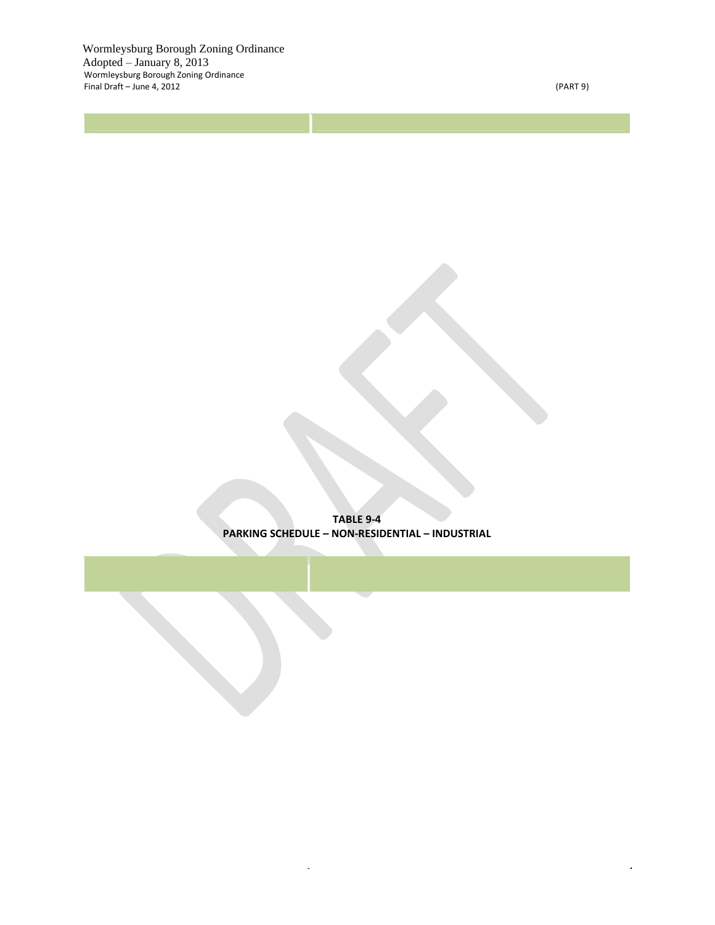**TABLE 9-4 PARKING SCHEDULE – NON-RESIDENTIAL – INDUSTRIAL**

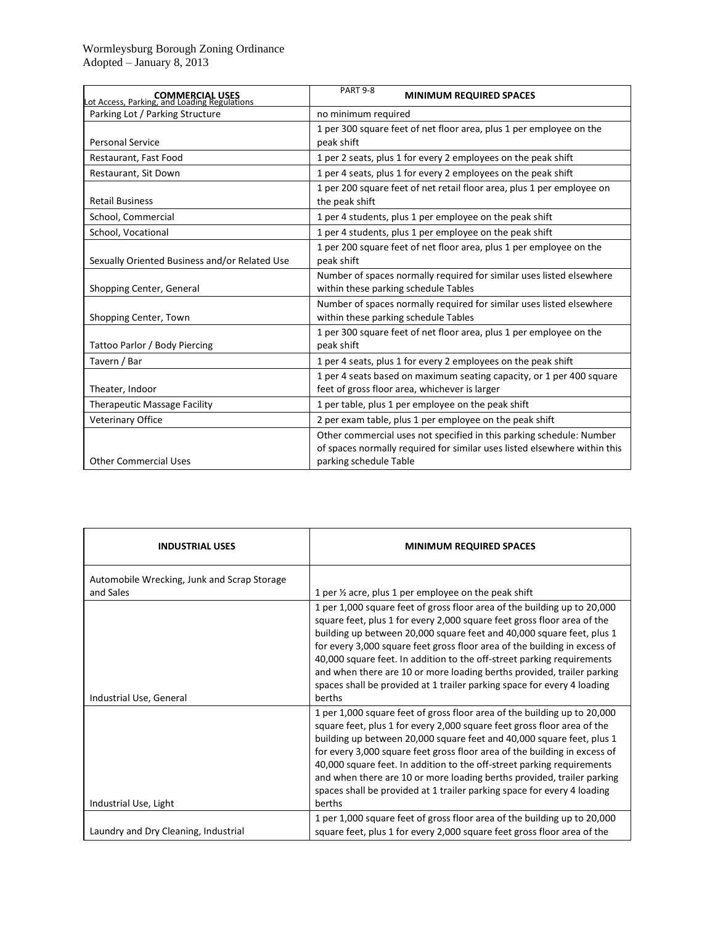| <b>COMMERCIAL USES</b><br><b>OMMERCIAL USES</b> <i>D</i> t Access, Parking, and Loading Regulations | <b>PART 9-8</b><br><b>MINIMUM REQUIRED SPACES</b>                                                                                                                           |
|-----------------------------------------------------------------------------------------------------|-----------------------------------------------------------------------------------------------------------------------------------------------------------------------------|
| Parking Lot / Parking Structure                                                                     | no minimum required                                                                                                                                                         |
|                                                                                                     | 1 per 300 square feet of net floor area, plus 1 per employee on the                                                                                                         |
| <b>Personal Service</b>                                                                             | peak shift                                                                                                                                                                  |
| Restaurant, Fast Food                                                                               | 1 per 2 seats, plus 1 for every 2 employees on the peak shift                                                                                                               |
| Restaurant, Sit Down                                                                                | 1 per 4 seats, plus 1 for every 2 employees on the peak shift                                                                                                               |
| <b>Retail Business</b>                                                                              | 1 per 200 square feet of net retail floor area, plus 1 per employee on<br>the peak shift                                                                                    |
| School, Commercial                                                                                  | 1 per 4 students, plus 1 per employee on the peak shift                                                                                                                     |
| School, Vocational                                                                                  | 1 per 4 students, plus 1 per employee on the peak shift                                                                                                                     |
| Sexually Oriented Business and/or Related Use                                                       | 1 per 200 square feet of net floor area, plus 1 per employee on the<br>peak shift                                                                                           |
| Shopping Center, General                                                                            | Number of spaces normally required for similar uses listed elsewhere<br>within these parking schedule Tables                                                                |
| Shopping Center, Town                                                                               | Number of spaces normally required for similar uses listed elsewhere<br>within these parking schedule Tables                                                                |
| Tattoo Parlor / Body Piercing                                                                       | 1 per 300 square feet of net floor area, plus 1 per employee on the<br>peak shift                                                                                           |
| Tavern / Bar                                                                                        | 1 per 4 seats, plus 1 for every 2 employees on the peak shift                                                                                                               |
| Theater, Indoor                                                                                     | 1 per 4 seats based on maximum seating capacity, or 1 per 400 square<br>feet of gross floor area, whichever is larger                                                       |
| <b>Therapeutic Massage Facility</b>                                                                 | 1 per table, plus 1 per employee on the peak shift                                                                                                                          |
| Veterinary Office                                                                                   | 2 per exam table, plus 1 per employee on the peak shift                                                                                                                     |
| <b>Other Commercial Uses</b>                                                                        | Other commercial uses not specified in this parking schedule: Number<br>of spaces normally required for similar uses listed elsewhere within this<br>parking schedule Table |

| <b>INDUSTRIAL USES</b>                      | <b>MINIMUM REQUIRED SPACES</b>                                                                                                                                                                                                                                                                                                                                                                                                                                                                                                                     |
|---------------------------------------------|----------------------------------------------------------------------------------------------------------------------------------------------------------------------------------------------------------------------------------------------------------------------------------------------------------------------------------------------------------------------------------------------------------------------------------------------------------------------------------------------------------------------------------------------------|
| Automobile Wrecking, Junk and Scrap Storage |                                                                                                                                                                                                                                                                                                                                                                                                                                                                                                                                                    |
| and Sales                                   | 1 per 1/2 acre, plus 1 per employee on the peak shift                                                                                                                                                                                                                                                                                                                                                                                                                                                                                              |
| Industrial Use, General                     | 1 per 1,000 square feet of gross floor area of the building up to 20,000<br>square feet, plus 1 for every 2,000 square feet gross floor area of the<br>building up between 20,000 square feet and 40,000 square feet, plus 1<br>for every 3,000 square feet gross floor area of the building in excess of<br>40,000 square feet. In addition to the off-street parking requirements<br>and when there are 10 or more loading berths provided, trailer parking<br>spaces shall be provided at 1 trailer parking space for every 4 loading<br>berths |
| Industrial Use, Light                       | 1 per 1,000 square feet of gross floor area of the building up to 20,000<br>square feet, plus 1 for every 2,000 square feet gross floor area of the<br>building up between 20,000 square feet and 40,000 square feet, plus 1<br>for every 3,000 square feet gross floor area of the building in excess of<br>40,000 square feet. In addition to the off-street parking requirements<br>and when there are 10 or more loading berths provided, trailer parking<br>spaces shall be provided at 1 trailer parking space for every 4 loading<br>berths |
| Laundry and Dry Cleaning, Industrial        | 1 per 1,000 square feet of gross floor area of the building up to 20,000<br>square feet, plus 1 for every 2,000 square feet gross floor area of the                                                                                                                                                                                                                                                                                                                                                                                                |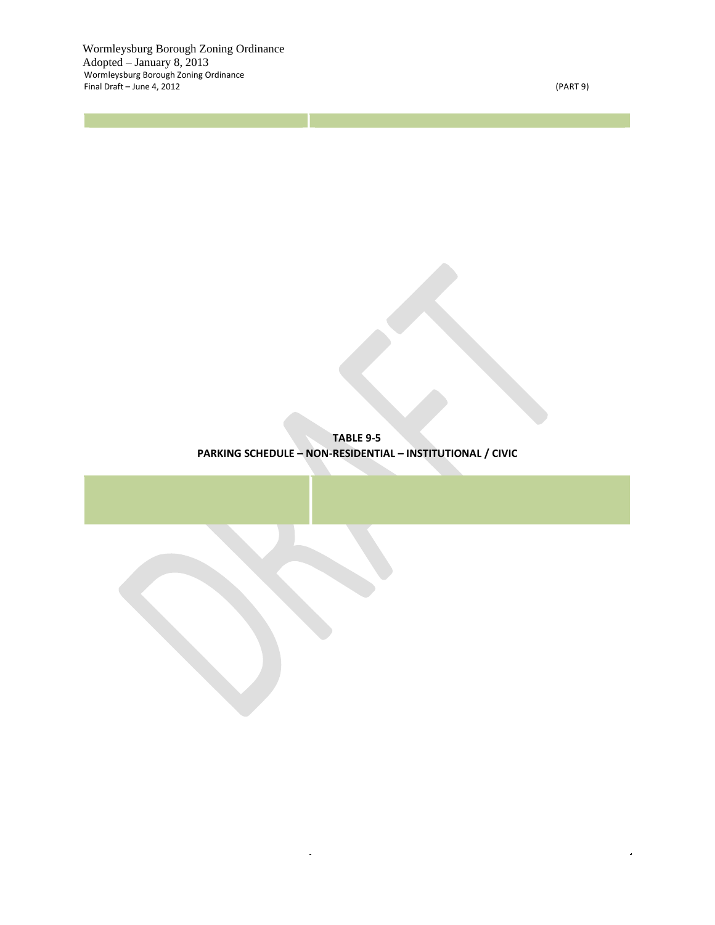**TABLE 9-5 PARKING SCHEDULE – NON-RESIDENTIAL – INSTITUTIONAL / CIVIC**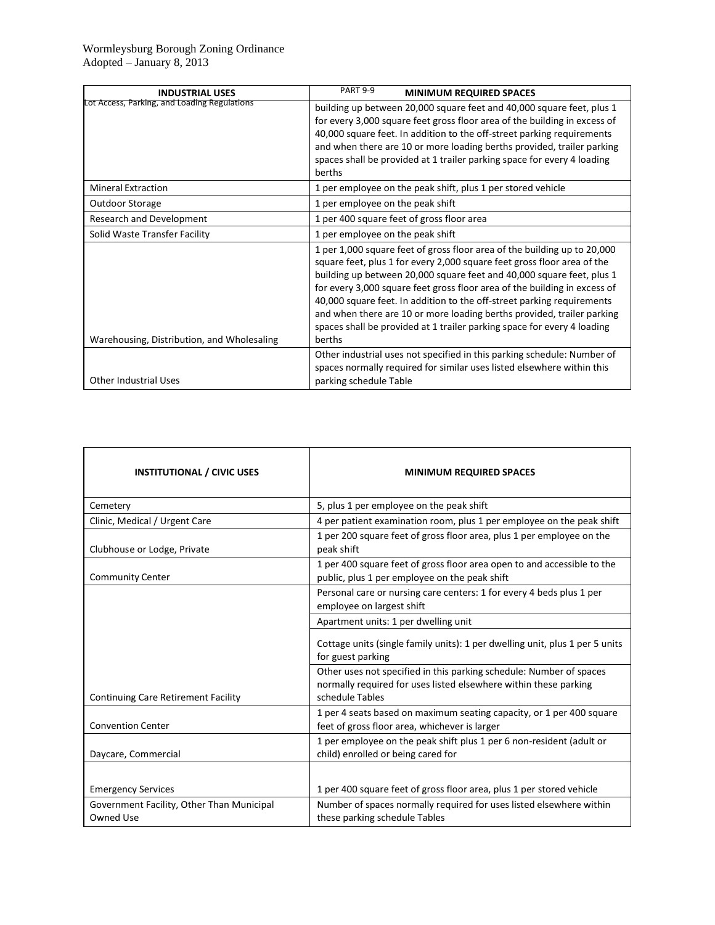| <b>INDUSTRIAL USES</b>                       | <b>PART 9-9</b><br><b>MINIMUM REQUIRED SPACES</b>                                                                                                                                                                                                                                                                                                                                                                                                                                                                                                  |
|----------------------------------------------|----------------------------------------------------------------------------------------------------------------------------------------------------------------------------------------------------------------------------------------------------------------------------------------------------------------------------------------------------------------------------------------------------------------------------------------------------------------------------------------------------------------------------------------------------|
| Lot Access, Parking, and Loading Regulations | building up between 20,000 square feet and 40,000 square feet, plus 1<br>for every 3,000 square feet gross floor area of the building in excess of<br>40,000 square feet. In addition to the off-street parking requirements<br>and when there are 10 or more loading berths provided, trailer parking<br>spaces shall be provided at 1 trailer parking space for every 4 loading<br>berths                                                                                                                                                        |
| <b>Mineral Extraction</b>                    | 1 per employee on the peak shift, plus 1 per stored vehicle                                                                                                                                                                                                                                                                                                                                                                                                                                                                                        |
| Outdoor Storage                              | 1 per employee on the peak shift                                                                                                                                                                                                                                                                                                                                                                                                                                                                                                                   |
| Research and Development                     | 1 per 400 square feet of gross floor area                                                                                                                                                                                                                                                                                                                                                                                                                                                                                                          |
| Solid Waste Transfer Facility                | 1 per employee on the peak shift                                                                                                                                                                                                                                                                                                                                                                                                                                                                                                                   |
| Warehousing, Distribution, and Wholesaling   | 1 per 1,000 square feet of gross floor area of the building up to 20,000<br>square feet, plus 1 for every 2,000 square feet gross floor area of the<br>building up between 20,000 square feet and 40,000 square feet, plus 1<br>for every 3,000 square feet gross floor area of the building in excess of<br>40,000 square feet. In addition to the off-street parking requirements<br>and when there are 10 or more loading berths provided, trailer parking<br>spaces shall be provided at 1 trailer parking space for every 4 loading<br>berths |
|                                              | Other industrial uses not specified in this parking schedule: Number of                                                                                                                                                                                                                                                                                                                                                                                                                                                                            |
|                                              | spaces normally required for similar uses listed elsewhere within this                                                                                                                                                                                                                                                                                                                                                                                                                                                                             |
| <b>Other Industrial Uses</b>                 | parking schedule Table                                                                                                                                                                                                                                                                                                                                                                                                                                                                                                                             |

| <b>INSTITUTIONAL / CIVIC USES</b>                      | <b>MINIMUM REQUIRED SPACES</b>                                                                                                                             |
|--------------------------------------------------------|------------------------------------------------------------------------------------------------------------------------------------------------------------|
| Cemetery                                               | 5, plus 1 per employee on the peak shift                                                                                                                   |
| Clinic, Medical / Urgent Care                          | 4 per patient examination room, plus 1 per employee on the peak shift                                                                                      |
| Clubhouse or Lodge, Private                            | 1 per 200 square feet of gross floor area, plus 1 per employee on the<br>peak shift                                                                        |
| <b>Community Center</b>                                | 1 per 400 square feet of gross floor area open to and accessible to the<br>public, plus 1 per employee on the peak shift                                   |
|                                                        | Personal care or nursing care centers: 1 for every 4 beds plus 1 per<br>employee on largest shift                                                          |
|                                                        | Apartment units: 1 per dwelling unit                                                                                                                       |
|                                                        | Cottage units (single family units): 1 per dwelling unit, plus 1 per 5 units<br>for guest parking                                                          |
| Continuing Care Retirement Facility                    | Other uses not specified in this parking schedule: Number of spaces<br>normally required for uses listed elsewhere within these parking<br>schedule Tables |
| <b>Convention Center</b>                               | 1 per 4 seats based on maximum seating capacity, or 1 per 400 square<br>feet of gross floor area, whichever is larger                                      |
| Daycare, Commercial                                    | 1 per employee on the peak shift plus 1 per 6 non-resident (adult or<br>child) enrolled or being cared for                                                 |
|                                                        |                                                                                                                                                            |
| <b>Emergency Services</b>                              | 1 per 400 square feet of gross floor area, plus 1 per stored vehicle                                                                                       |
| Government Facility, Other Than Municipal<br>Owned Use | Number of spaces normally required for uses listed elsewhere within<br>these parking schedule Tables                                                       |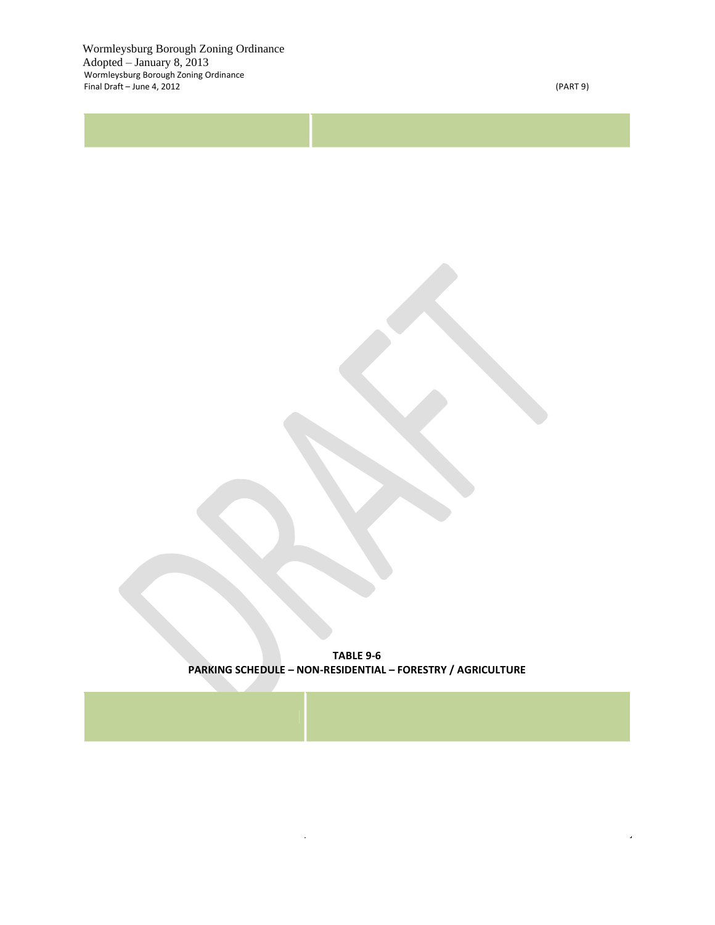**TABLE 9-6 PARKING SCHEDULE – NON-RESIDENTIAL – FORESTRY / AGRICULTURE**

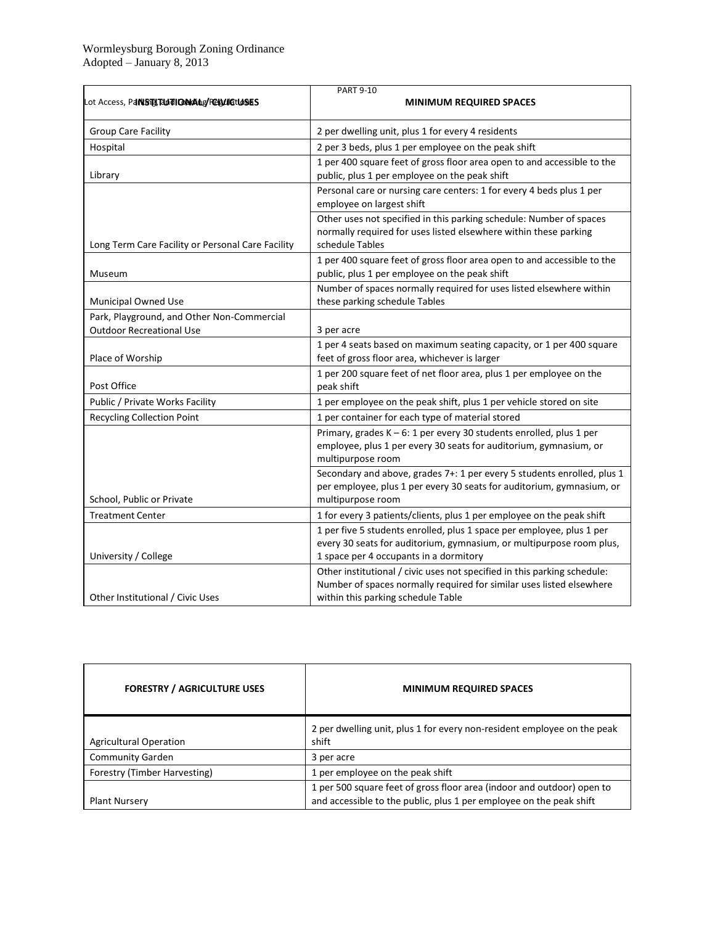| Lot Access, Pa <b>NSTEITAJTIONALLe/REBUIGTIJSES</b> | <b>PART 9-10</b><br><b>MINIMUM REQUIRED SPACES</b>                                                                                                                                      |
|-----------------------------------------------------|-----------------------------------------------------------------------------------------------------------------------------------------------------------------------------------------|
| <b>Group Care Facility</b>                          | 2 per dwelling unit, plus 1 for every 4 residents                                                                                                                                       |
| Hospital                                            | 2 per 3 beds, plus 1 per employee on the peak shift                                                                                                                                     |
| Library                                             | 1 per 400 square feet of gross floor area open to and accessible to the<br>public, plus 1 per employee on the peak shift                                                                |
|                                                     | Personal care or nursing care centers: 1 for every 4 beds plus 1 per<br>employee on largest shift                                                                                       |
| Long Term Care Facility or Personal Care Facility   | Other uses not specified in this parking schedule: Number of spaces<br>normally required for uses listed elsewhere within these parking<br>schedule Tables                              |
| Museum                                              | 1 per 400 square feet of gross floor area open to and accessible to the<br>public, plus 1 per employee on the peak shift                                                                |
| <b>Municipal Owned Use</b>                          | Number of spaces normally required for uses listed elsewhere within<br>these parking schedule Tables                                                                                    |
| Park, Playground, and Other Non-Commercial          |                                                                                                                                                                                         |
| <b>Outdoor Recreational Use</b>                     | 3 per acre                                                                                                                                                                              |
| Place of Worship                                    | 1 per 4 seats based on maximum seating capacity, or 1 per 400 square<br>feet of gross floor area, whichever is larger                                                                   |
| Post Office                                         | 1 per 200 square feet of net floor area, plus 1 per employee on the<br>peak shift                                                                                                       |
| Public / Private Works Facility                     | 1 per employee on the peak shift, plus 1 per vehicle stored on site                                                                                                                     |
| <b>Recycling Collection Point</b>                   | 1 per container for each type of material stored                                                                                                                                        |
|                                                     | Primary, grades K - 6: 1 per every 30 students enrolled, plus 1 per<br>employee, plus 1 per every 30 seats for auditorium, gymnasium, or<br>multipurpose room                           |
| School, Public or Private                           | Secondary and above, grades 7+: 1 per every 5 students enrolled, plus 1<br>per employee, plus 1 per every 30 seats for auditorium, gymnasium, or<br>multipurpose room                   |
| <b>Treatment Center</b>                             | 1 for every 3 patients/clients, plus 1 per employee on the peak shift                                                                                                                   |
| University / College                                | 1 per five 5 students enrolled, plus 1 space per employee, plus 1 per<br>every 30 seats for auditorium, gymnasium, or multipurpose room plus,<br>1 space per 4 occupants in a dormitory |
| Other Institutional / Civic Uses                    | Other institutional / civic uses not specified in this parking schedule:<br>Number of spaces normally required for similar uses listed elsewhere<br>within this parking schedule Table  |

| <b>FORESTRY / AGRICULTURE USES</b> | <b>MINIMUM REQUIRED SPACES</b>                                                                                                                |
|------------------------------------|-----------------------------------------------------------------------------------------------------------------------------------------------|
| <b>Agricultural Operation</b>      | 2 per dwelling unit, plus 1 for every non-resident employee on the peak<br>shift                                                              |
| <b>Community Garden</b>            | 3 per acre                                                                                                                                    |
| Forestry (Timber Harvesting)       | 1 per employee on the peak shift                                                                                                              |
| <b>Plant Nursery</b>               | 1 per 500 square feet of gross floor area (indoor and outdoor) open to<br>and accessible to the public, plus 1 per employee on the peak shift |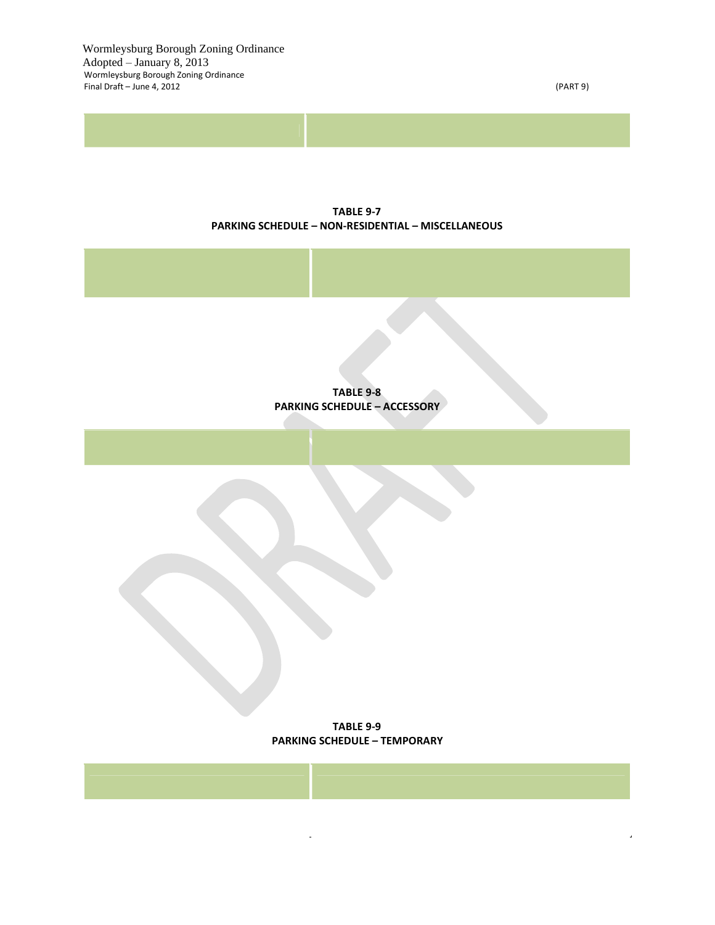**TABLE 9-7 PARKING SCHEDULE – NON-RESIDENTIAL – MISCELLANEOUS**



**TABLE 9-9 PARKING SCHEDULE – TEMPORARY**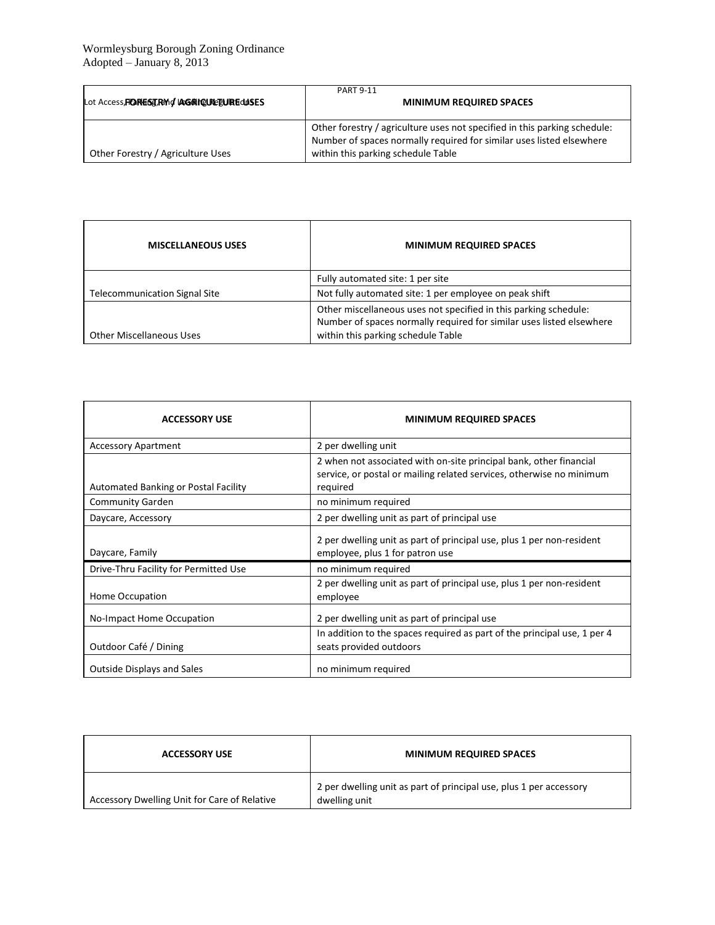| Lot Access, FOREST, RM of LAGRINGURE FURE OUSES | <b>PART 9-11</b><br><b>MINIMUM REQUIRED SPACES</b>                                                                                                                                      |
|-------------------------------------------------|-----------------------------------------------------------------------------------------------------------------------------------------------------------------------------------------|
| Other Forestry / Agriculture Uses               | Other forestry / agriculture uses not specified in this parking schedule:<br>Number of spaces normally required for similar uses listed elsewhere<br>within this parking schedule Table |

| <b>MISCELLANEOUS USES</b>            | <b>MINIMUM REQUIRED SPACES</b>                                                                                                                                                 |
|--------------------------------------|--------------------------------------------------------------------------------------------------------------------------------------------------------------------------------|
|                                      | Fully automated site: 1 per site                                                                                                                                               |
| <b>Telecommunication Signal Site</b> | Not fully automated site: 1 per employee on peak shift                                                                                                                         |
| <b>Other Miscellaneous Uses</b>      | Other miscellaneous uses not specified in this parking schedule:<br>Number of spaces normally required for similar uses listed elsewhere<br>within this parking schedule Table |

| <b>ACCESSORY USE</b>                  | <b>MINIMUM REQUIRED SPACES</b>                                                                                                                         |
|---------------------------------------|--------------------------------------------------------------------------------------------------------------------------------------------------------|
| <b>Accessory Apartment</b>            | 2 per dwelling unit                                                                                                                                    |
| Automated Banking or Postal Facility  | 2 when not associated with on-site principal bank, other financial<br>service, or postal or mailing related services, otherwise no minimum<br>required |
| <b>Community Garden</b>               | no minimum required                                                                                                                                    |
| Daycare, Accessory                    | 2 per dwelling unit as part of principal use                                                                                                           |
| Daycare, Family                       | 2 per dwelling unit as part of principal use, plus 1 per non-resident<br>employee, plus 1 for patron use                                               |
| Drive-Thru Facility for Permitted Use | no minimum required                                                                                                                                    |
| Home Occupation                       | 2 per dwelling unit as part of principal use, plus 1 per non-resident<br>employee                                                                      |
| No-Impact Home Occupation             | 2 per dwelling unit as part of principal use                                                                                                           |
| Outdoor Café / Dining                 | In addition to the spaces required as part of the principal use, 1 per 4<br>seats provided outdoors                                                    |
| <b>Outside Displays and Sales</b>     | no minimum required                                                                                                                                    |

| <b>ACCESSORY USE</b>                         | <b>MINIMUM REQUIRED SPACES</b>                                                      |
|----------------------------------------------|-------------------------------------------------------------------------------------|
| Accessory Dwelling Unit for Care of Relative | 2 per dwelling unit as part of principal use, plus 1 per accessory<br>dwelling unit |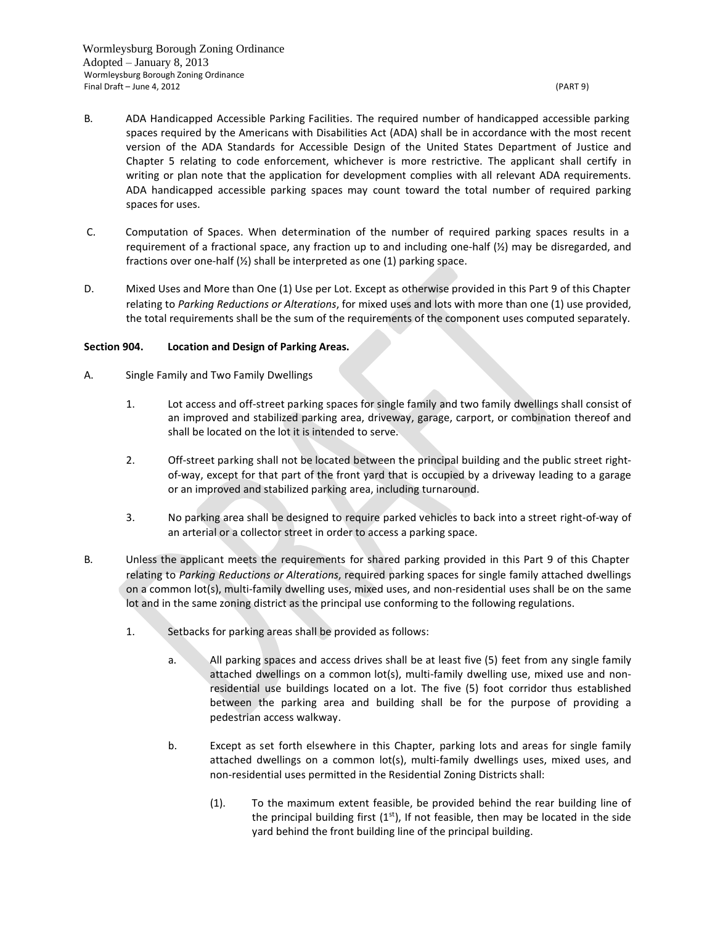- B. ADA Handicapped Accessible Parking Facilities. The required number of handicapped accessible parking spaces required by the Americans with Disabilities Act (ADA) shall be in accordance with the most recent version of the ADA Standards for Accessible Design of the United States Department of Justice and Chapter 5 relating to code enforcement, whichever is more restrictive. The applicant shall certify in writing or plan note that the application for development complies with all relevant ADA requirements. ADA handicapped accessible parking spaces may count toward the total number of required parking spaces for uses.
- C. Computation of Spaces. When determination of the number of required parking spaces results in a requirement of a fractional space, any fraction up to and including one-half (½) may be disregarded, and fractions over one-half (½) shall be interpreted as one (1) parking space.
- D. Mixed Uses and More than One (1) Use per Lot. Except as otherwise provided in this Part 9 of this Chapter relating to *Parking Reductions or Alterations*, for mixed uses and lots with more than one (1) use provided, the total requirements shall be the sum of the requirements of the component uses computed separately.

## **Section 904. Location and Design of Parking Areas.**

- A. Single Family and Two Family Dwellings
	- 1. Lot access and off-street parking spaces for single family and two family dwellings shall consist of an improved and stabilized parking area, driveway, garage, carport, or combination thereof and shall be located on the lot it is intended to serve.
	- 2. Off-street parking shall not be located between the principal building and the public street rightof-way, except for that part of the front yard that is occupied by a driveway leading to a garage or an improved and stabilized parking area, including turnaround.
	- 3. No parking area shall be designed to require parked vehicles to back into a street right-of-way of an arterial or a collector street in order to access a parking space.
- B. Unless the applicant meets the requirements for shared parking provided in this Part 9 of this Chapter relating to *Parking Reductions or Alterations*, required parking spaces for single family attached dwellings on a common lot(s), multi-family dwelling uses, mixed uses, and non-residential uses shall be on the same lot and in the same zoning district as the principal use conforming to the following regulations.
	- 1. Setbacks for parking areas shall be provided as follows:
		- a. All parking spaces and access drives shall be at least five (5) feet from any single family attached dwellings on a common lot(s), multi-family dwelling use, mixed use and nonresidential use buildings located on a lot. The five (5) foot corridor thus established between the parking area and building shall be for the purpose of providing a pedestrian access walkway.
		- b. Except as set forth elsewhere in this Chapter, parking lots and areas for single family attached dwellings on a common lot(s), multi-family dwellings uses, mixed uses, and non-residential uses permitted in the Residential Zoning Districts shall:
			- (1). To the maximum extent feasible, be provided behind the rear building line of the principal building first  $(1<sup>st</sup>)$ , If not feasible, then may be located in the side yard behind the front building line of the principal building.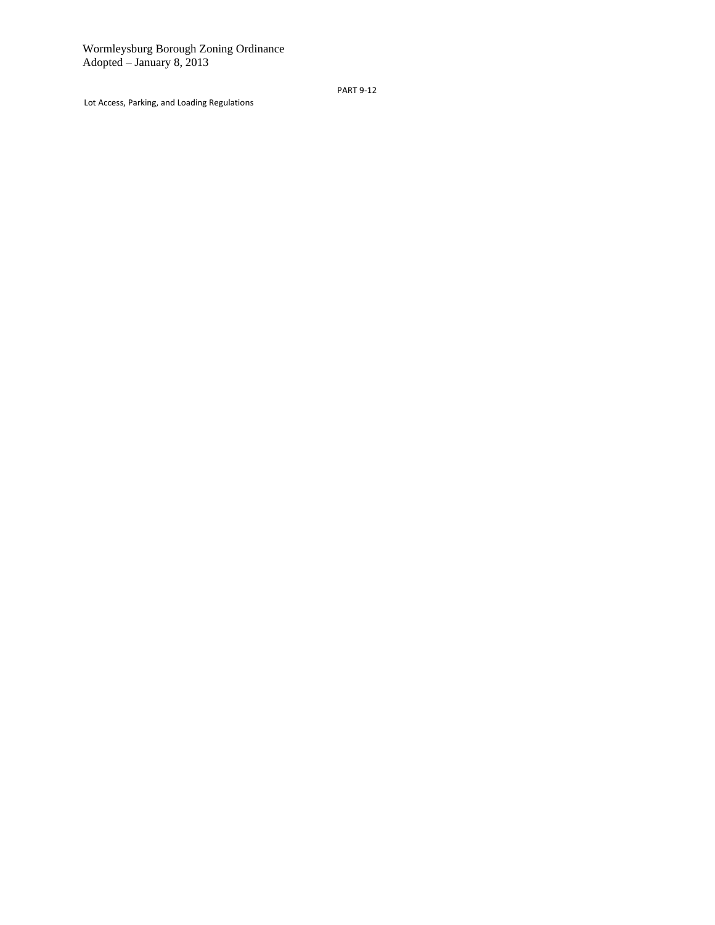PART 9-12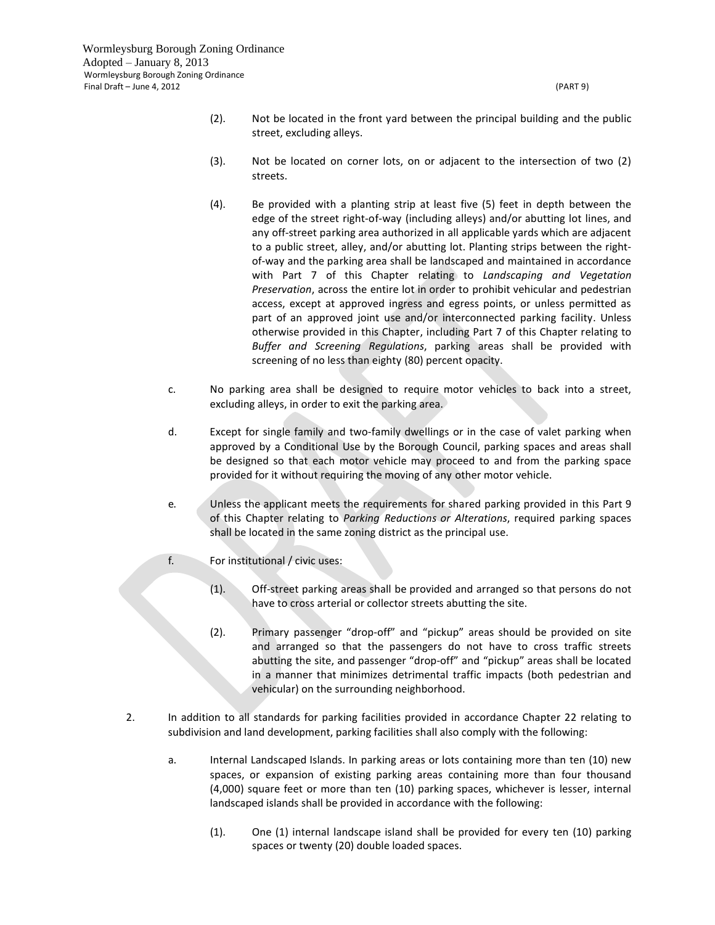- (2). Not be located in the front yard between the principal building and the public street, excluding alleys.
- (3). Not be located on corner lots, on or adjacent to the intersection of two (2) streets.
- (4). Be provided with a planting strip at least five (5) feet in depth between the edge of the street right-of-way (including alleys) and/or abutting lot lines, and any off-street parking area authorized in all applicable yards which are adjacent to a public street, alley, and/or abutting lot. Planting strips between the rightof-way and the parking area shall be landscaped and maintained in accordance with Part 7 of this Chapter relating to *Landscaping and Vegetation Preservation*, across the entire lot in order to prohibit vehicular and pedestrian access, except at approved ingress and egress points, or unless permitted as part of an approved joint use and/or interconnected parking facility. Unless otherwise provided in this Chapter, including Part 7 of this Chapter relating to *Buffer and Screening Regulations*, parking areas shall be provided with screening of no less than eighty (80) percent opacity.
- c. No parking area shall be designed to require motor vehicles to back into a street, excluding alleys, in order to exit the parking area.
- d. Except for single family and two-family dwellings or in the case of valet parking when approved by a Conditional Use by the Borough Council, parking spaces and areas shall be designed so that each motor vehicle may proceed to and from the parking space provided for it without requiring the moving of any other motor vehicle.
- e. Unless the applicant meets the requirements for shared parking provided in this Part 9 of this Chapter relating to *Parking Reductions or Alterations*, required parking spaces shall be located in the same zoning district as the principal use.
- f. For institutional / civic uses:
	- (1). Off-street parking areas shall be provided and arranged so that persons do not have to cross arterial or collector streets abutting the site.
	- (2). Primary passenger "drop-off" and "pickup" areas should be provided on site and arranged so that the passengers do not have to cross traffic streets abutting the site, and passenger "drop-off" and "pickup" areas shall be located in a manner that minimizes detrimental traffic impacts (both pedestrian and vehicular) on the surrounding neighborhood.
- 2. In addition to all standards for parking facilities provided in accordance Chapter 22 relating to subdivision and land development, parking facilities shall also comply with the following:
	- a. Internal Landscaped Islands. In parking areas or lots containing more than ten (10) new spaces, or expansion of existing parking areas containing more than four thousand (4,000) square feet or more than ten (10) parking spaces, whichever is lesser, internal landscaped islands shall be provided in accordance with the following:
		- (1). One (1) internal landscape island shall be provided for every ten (10) parking spaces or twenty (20) double loaded spaces.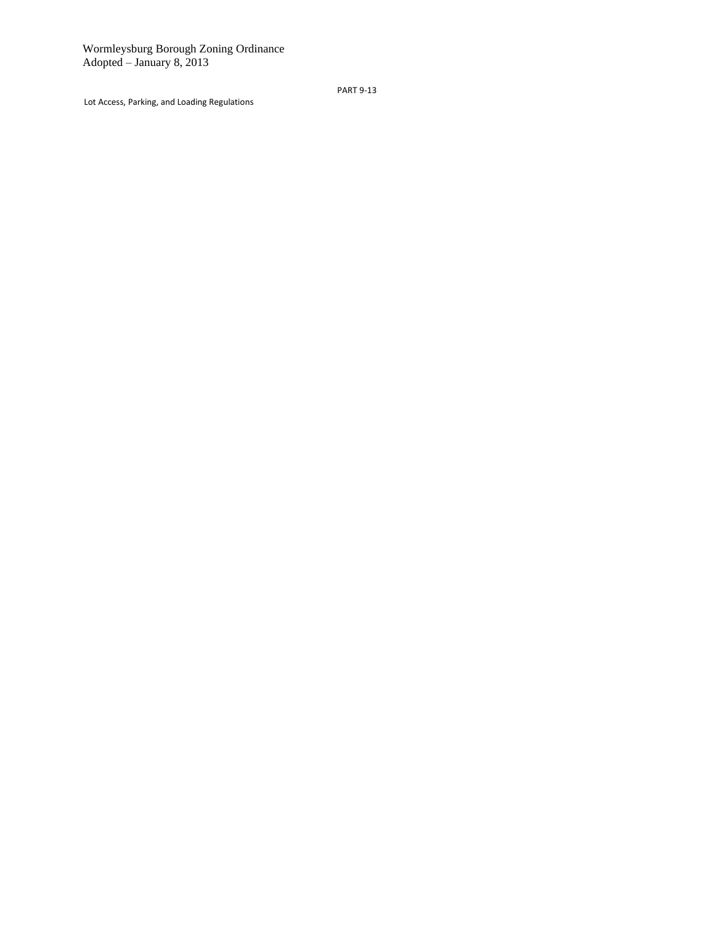PART 9-13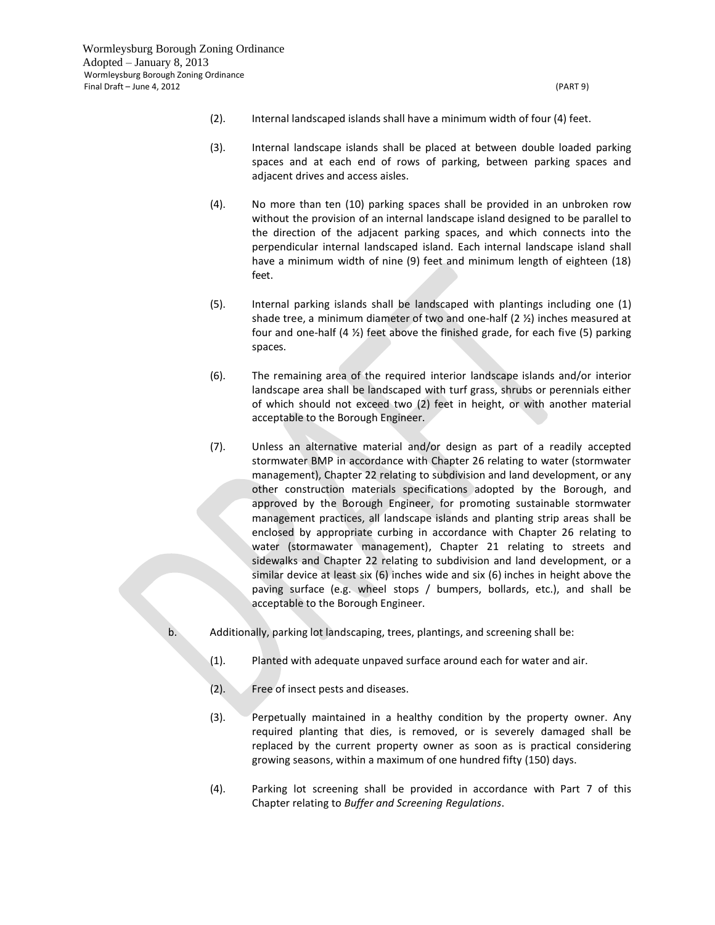- (2). Internal landscaped islands shall have a minimum width of four (4) feet.
- (3). Internal landscape islands shall be placed at between double loaded parking spaces and at each end of rows of parking, between parking spaces and adjacent drives and access aisles.
- (4). No more than ten (10) parking spaces shall be provided in an unbroken row without the provision of an internal landscape island designed to be parallel to the direction of the adjacent parking spaces, and which connects into the perpendicular internal landscaped island. Each internal landscape island shall have a minimum width of nine (9) feet and minimum length of eighteen (18) feet.
- (5). Internal parking islands shall be landscaped with plantings including one (1) shade tree, a minimum diameter of two and one-half (2 ½) inches measured at four and one-half (4 ½) feet above the finished grade, for each five (5) parking spaces.
- (6). The remaining area of the required interior landscape islands and/or interior landscape area shall be landscaped with turf grass, shrubs or perennials either of which should not exceed two (2) feet in height, or with another material acceptable to the Borough Engineer.
- (7). Unless an alternative material and/or design as part of a readily accepted stormwater BMP in accordance with Chapter 26 relating to water (stormwater management), Chapter 22 relating to subdivision and land development, or any other construction materials specifications adopted by the Borough, and approved by the Borough Engineer, for promoting sustainable stormwater management practices, all landscape islands and planting strip areas shall be enclosed by appropriate curbing in accordance with Chapter 26 relating to water (stormawater management), Chapter 21 relating to streets and sidewalks and Chapter 22 relating to subdivision and land development, or a similar device at least six (6) inches wide and six (6) inches in height above the paving surface (e.g. wheel stops / bumpers, bollards, etc.), and shall be acceptable to the Borough Engineer.
- b. Additionally, parking lot landscaping, trees, plantings, and screening shall be:
	- (1). Planted with adequate unpaved surface around each for water and air.
	- (2). Free of insect pests and diseases.
	- (3). Perpetually maintained in a healthy condition by the property owner. Any required planting that dies, is removed, or is severely damaged shall be replaced by the current property owner as soon as is practical considering growing seasons, within a maximum of one hundred fifty (150) days.
	- (4). Parking lot screening shall be provided in accordance with Part 7 of this Chapter relating to *Buffer and Screening Regulations*.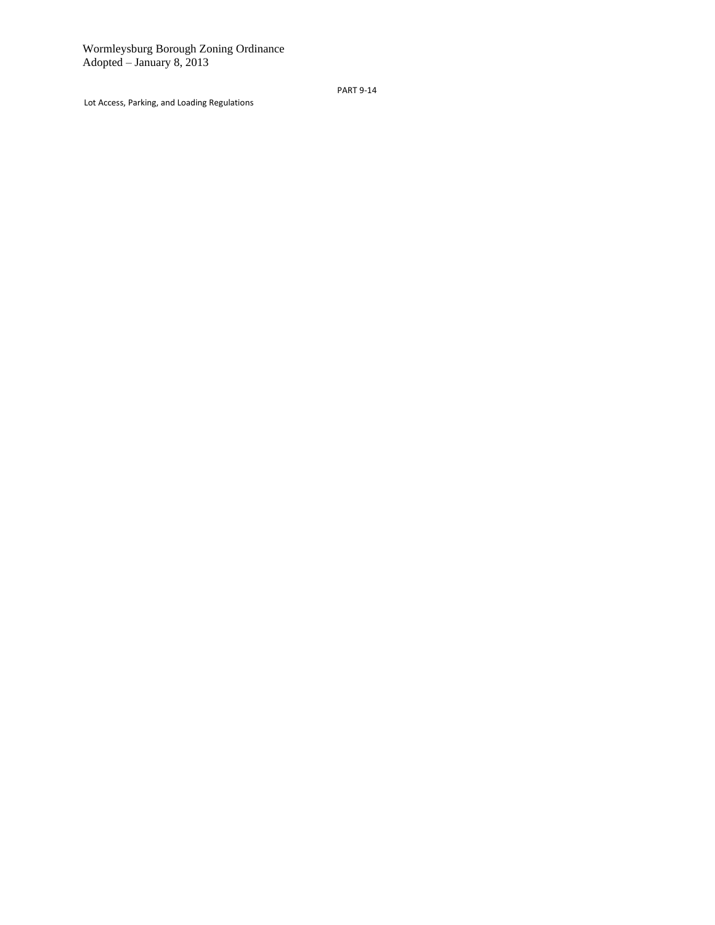PART 9-14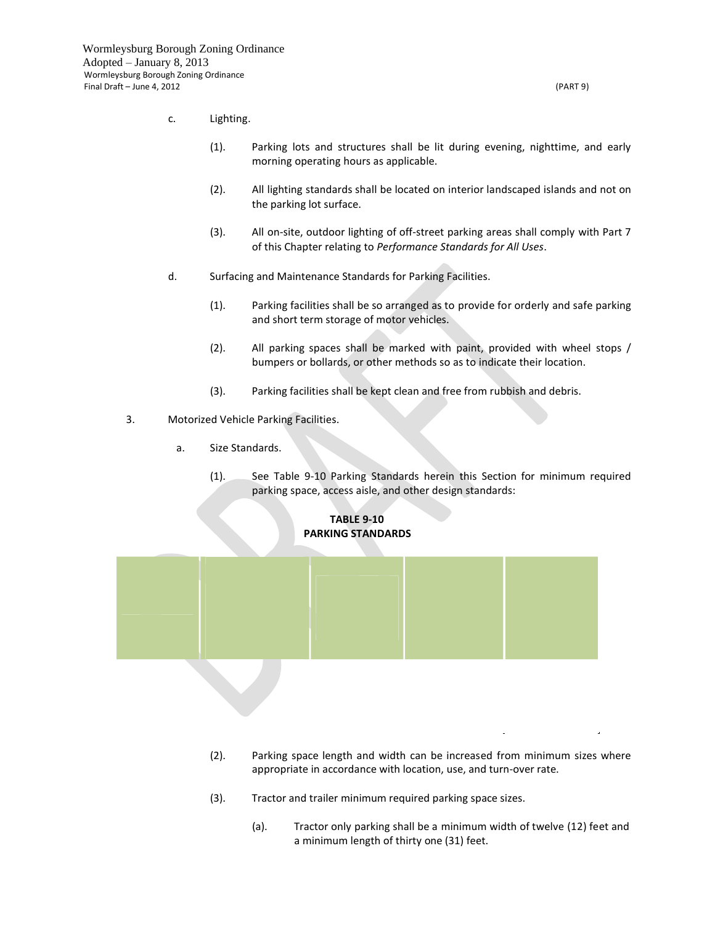- c. Lighting.
	- (1). Parking lots and structures shall be lit during evening, nighttime, and early morning operating hours as applicable.
	- (2). All lighting standards shall be located on interior landscaped islands and not on the parking lot surface.
	- (3). All on-site, outdoor lighting of off-street parking areas shall comply with Part 7 of this Chapter relating to *Performance Standards for All Uses*.
- d. Surfacing and Maintenance Standards for Parking Facilities.
	- (1). Parking facilities shall be so arranged as to provide for orderly and safe parking and short term storage of motor vehicles.
	- (2). All parking spaces shall be marked with paint, provided with wheel stops / bumpers or bollards, or other methods so as to indicate their location.
	- (3). Parking facilities shall be kept clean and free from rubbish and debris.
- 3. Motorized Vehicle Parking Facilities.
	- a. Size Standards.
		- (1). See Table 9-10 Parking Standards herein this Section for minimum required parking space, access aisle, and other design standards:

# **TABLE 9-10 PARKING STANDARDS**



- (2). Parking space length and width can be increased from minimum sizes where appropriate in accordance with location, use, and turn-over rate.
- (3). Tractor and trailer minimum required parking space sizes.
	- (a). Tractor only parking shall be a minimum width of twelve (12) feet and a minimum length of thirty one (31) feet.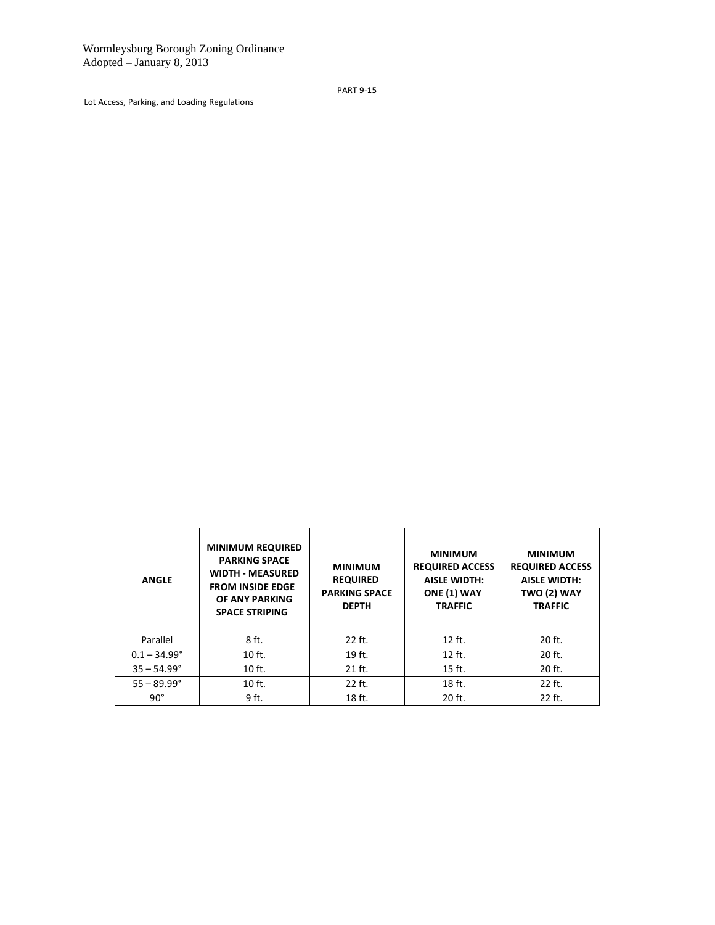PART 9-15

| <b>ANGLE</b>          | <b>MINIMUM REQUIRED</b><br><b>PARKING SPACE</b><br><b>WIDTH - MEASURED</b><br><b>FROM INSIDE EDGE</b><br>OF ANY PARKING<br><b>SPACE STRIPING</b> | <b>MINIMUM</b><br><b>REQUIRED</b><br><b>PARKING SPACE</b><br><b>DEPTH</b> | <b>MINIMUM</b><br><b>REQUIRED ACCESS</b><br><b>AISLE WIDTH:</b><br>ONE (1) WAY<br><b>TRAFFIC</b> | <b>MINIMUM</b><br><b>REQUIRED ACCESS</b><br><b>AISLE WIDTH:</b><br><b>TWO (2) WAY</b><br><b>TRAFFIC</b> |
|-----------------------|--------------------------------------------------------------------------------------------------------------------------------------------------|---------------------------------------------------------------------------|--------------------------------------------------------------------------------------------------|---------------------------------------------------------------------------------------------------------|
| Parallel              | 8 ft.                                                                                                                                            | 22 ft.                                                                    | 12 ft.                                                                                           | 20 ft.                                                                                                  |
| $0.1 - 34.99^{\circ}$ | 10 ft.                                                                                                                                           | 19 ft.                                                                    | 12 ft.                                                                                           | $20$ ft.                                                                                                |
| $35 - 54.99^{\circ}$  | 10 ft.                                                                                                                                           | 21 ft.                                                                    | $15$ ft.                                                                                         | $20$ ft.                                                                                                |
| $55 - 89.99^{\circ}$  | 10 ft.                                                                                                                                           | 22 ft.                                                                    | 18 ft.                                                                                           | 22 ft.                                                                                                  |
| $90^\circ$            | 9 ft.                                                                                                                                            | 18 ft.                                                                    | 20 ft.                                                                                           | 22 ft.                                                                                                  |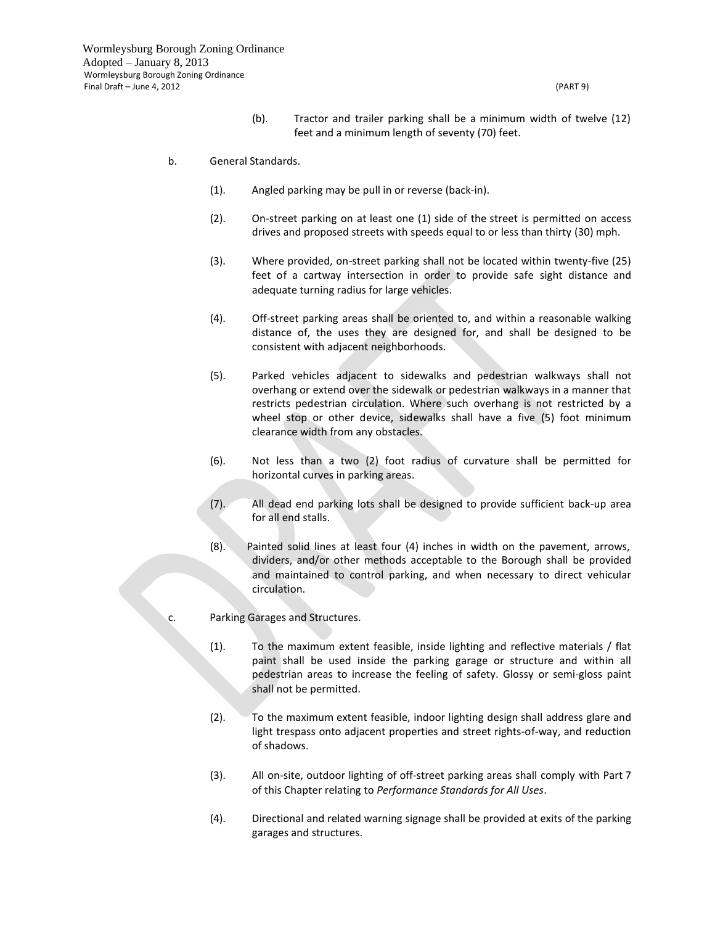- (b). Tractor and trailer parking shall be a minimum width of twelve (12) feet and a minimum length of seventy (70) feet.
- b. General Standards.
	- (1). Angled parking may be pull in or reverse (back-in).
	- (2). On-street parking on at least one (1) side of the street is permitted on access drives and proposed streets with speeds equal to or less than thirty (30) mph.
	- (3). Where provided, on-street parking shall not be located within twenty-five (25) feet of a cartway intersection in order to provide safe sight distance and adequate turning radius for large vehicles.
	- (4). Off-street parking areas shall be oriented to, and within a reasonable walking distance of, the uses they are designed for, and shall be designed to be consistent with adjacent neighborhoods.
	- (5). Parked vehicles adjacent to sidewalks and pedestrian walkways shall not overhang or extend over the sidewalk or pedestrian walkways in a manner that restricts pedestrian circulation. Where such overhang is not restricted by a wheel stop or other device, sidewalks shall have a five (5) foot minimum clearance width from any obstacles.
	- (6). Not less than a two (2) foot radius of curvature shall be permitted for horizontal curves in parking areas.
	- (7). All dead end parking lots shall be designed to provide sufficient back-up area for all end stalls.
	- (8). Painted solid lines at least four (4) inches in width on the pavement, arrows, dividers, and/or other methods acceptable to the Borough shall be provided and maintained to control parking, and when necessary to direct vehicular circulation.
- c. Parking Garages and Structures.
	- (1). To the maximum extent feasible, inside lighting and reflective materials / flat paint shall be used inside the parking garage or structure and within all pedestrian areas to increase the feeling of safety. Glossy or semi-gloss paint shall not be permitted.
	- (2). To the maximum extent feasible, indoor lighting design shall address glare and light trespass onto adjacent properties and street rights-of-way, and reduction of shadows.
	- (3). All on-site, outdoor lighting of off-street parking areas shall comply with Part 7 of this Chapter relating to *Performance Standards for All Uses*.
	- (4). Directional and related warning signage shall be provided at exits of the parking garages and structures.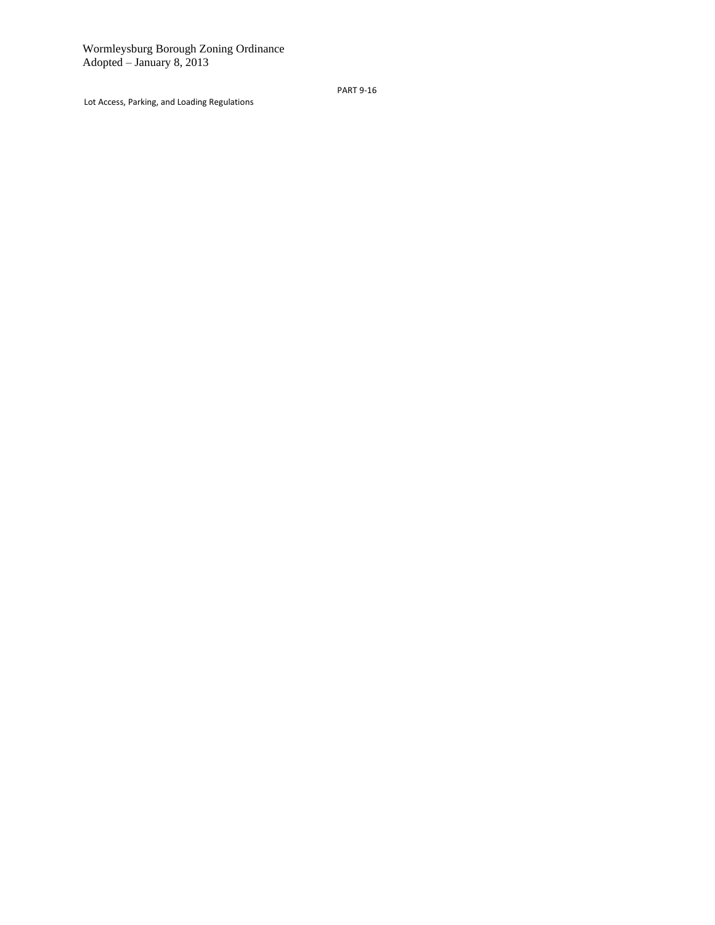PART 9-16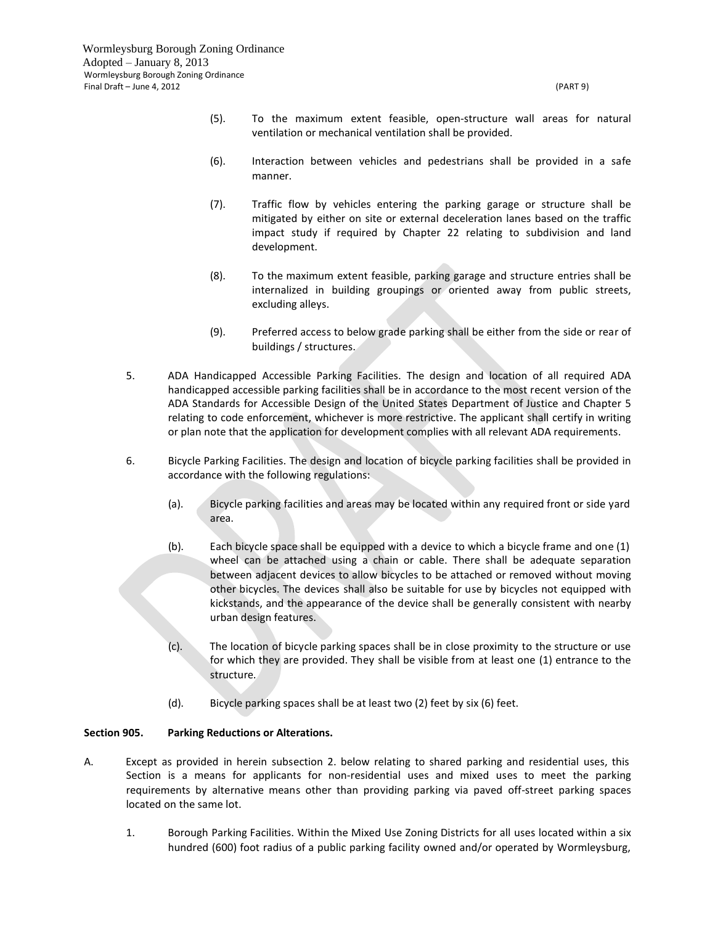- (5). To the maximum extent feasible, open-structure wall areas for natural ventilation or mechanical ventilation shall be provided.
- (6). Interaction between vehicles and pedestrians shall be provided in a safe manner.
- (7). Traffic flow by vehicles entering the parking garage or structure shall be mitigated by either on site or external deceleration lanes based on the traffic impact study if required by Chapter 22 relating to subdivision and land development.
- (8). To the maximum extent feasible, parking garage and structure entries shall be internalized in building groupings or oriented away from public streets, excluding alleys.
- (9). Preferred access to below grade parking shall be either from the side or rear of buildings / structures.
- 5. ADA Handicapped Accessible Parking Facilities. The design and location of all required ADA handicapped accessible parking facilities shall be in accordance to the most recent version of the ADA Standards for Accessible Design of the United States Department of Justice and Chapter 5 relating to code enforcement, whichever is more restrictive. The applicant shall certify in writing or plan note that the application for development complies with all relevant ADA requirements.
- 6. Bicycle Parking Facilities. The design and location of bicycle parking facilities shall be provided in accordance with the following regulations:
	- (a). Bicycle parking facilities and areas may be located within any required front or side yard area.
	- (b). Each bicycle space shall be equipped with a device to which a bicycle frame and one (1) wheel can be attached using a chain or cable. There shall be adequate separation between adjacent devices to allow bicycles to be attached or removed without moving other bicycles. The devices shall also be suitable for use by bicycles not equipped with kickstands, and the appearance of the device shall be generally consistent with nearby urban design features.
	- (c). The location of bicycle parking spaces shall be in close proximity to the structure or use for which they are provided. They shall be visible from at least one (1) entrance to the structure.
	- (d). Bicycle parking spaces shall be at least two (2) feet by six (6) feet.

### **Section 905. Parking Reductions or Alterations.**

- A. Except as provided in herein subsection 2. below relating to shared parking and residential uses, this Section is a means for applicants for non-residential uses and mixed uses to meet the parking requirements by alternative means other than providing parking via paved off-street parking spaces located on the same lot.
	- 1. Borough Parking Facilities. Within the Mixed Use Zoning Districts for all uses located within a six hundred (600) foot radius of a public parking facility owned and/or operated by Wormleysburg,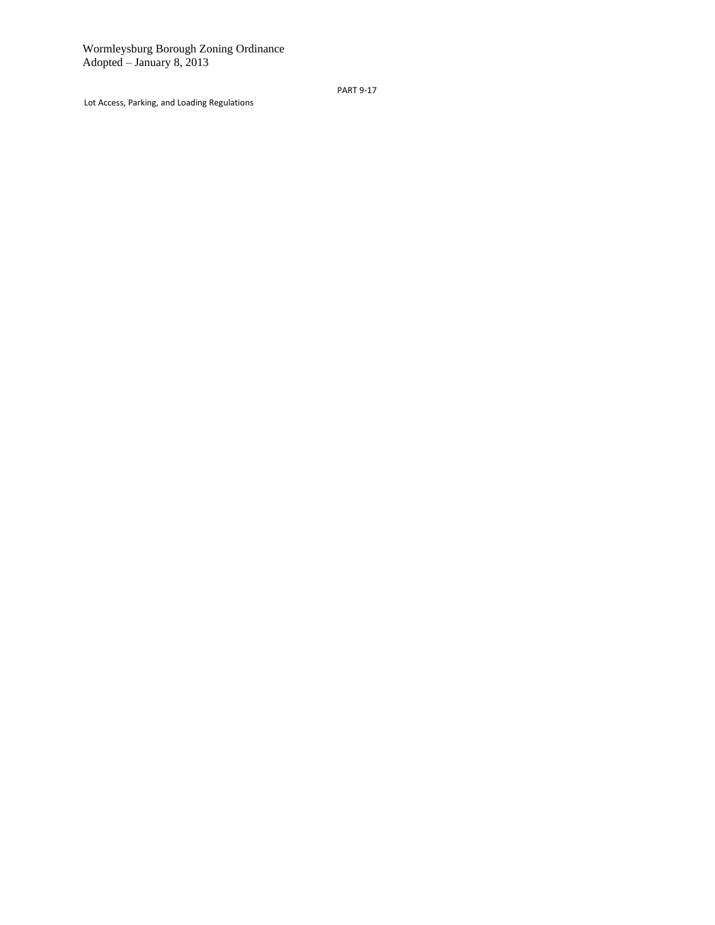PART 9-17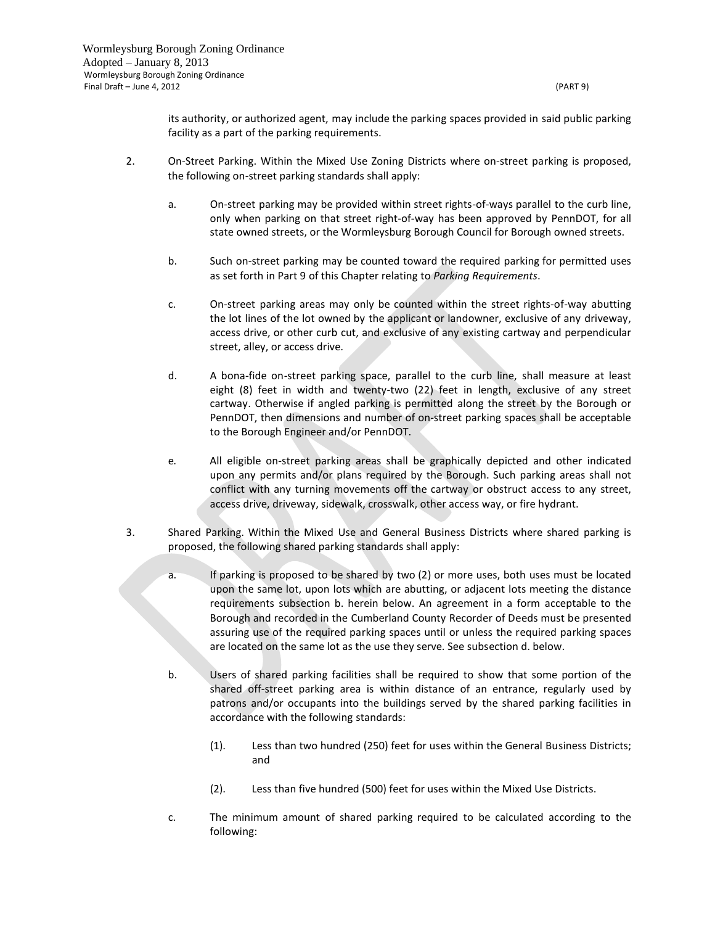its authority, or authorized agent, may include the parking spaces provided in said public parking facility as a part of the parking requirements.

- 2. On-Street Parking. Within the Mixed Use Zoning Districts where on-street parking is proposed, the following on-street parking standards shall apply:
	- a. On-street parking may be provided within street rights-of-ways parallel to the curb line, only when parking on that street right-of-way has been approved by PennDOT, for all state owned streets, or the Wormleysburg Borough Council for Borough owned streets.
	- b. Such on-street parking may be counted toward the required parking for permitted uses as set forth in Part 9 of this Chapter relating to *Parking Requirements*.
	- c. On-street parking areas may only be counted within the street rights-of-way abutting the lot lines of the lot owned by the applicant or landowner, exclusive of any driveway, access drive, or other curb cut, and exclusive of any existing cartway and perpendicular street, alley, or access drive.
	- d. A bona-fide on-street parking space, parallel to the curb line, shall measure at least eight (8) feet in width and twenty-two (22) feet in length, exclusive of any street cartway. Otherwise if angled parking is permitted along the street by the Borough or PennDOT, then dimensions and number of on-street parking spaces shall be acceptable to the Borough Engineer and/or PennDOT.
	- e. All eligible on-street parking areas shall be graphically depicted and other indicated upon any permits and/or plans required by the Borough. Such parking areas shall not conflict with any turning movements off the cartway or obstruct access to any street, access drive, driveway, sidewalk, crosswalk, other access way, or fire hydrant.
- 3. Shared Parking. Within the Mixed Use and General Business Districts where shared parking is proposed, the following shared parking standards shall apply:
	- a. If parking is proposed to be shared by two (2) or more uses, both uses must be located upon the same lot, upon lots which are abutting, or adjacent lots meeting the distance requirements subsection b. herein below. An agreement in a form acceptable to the Borough and recorded in the Cumberland County Recorder of Deeds must be presented assuring use of the required parking spaces until or unless the required parking spaces are located on the same lot as the use they serve. See subsection d. below.
	- b. Users of shared parking facilities shall be required to show that some portion of the shared off-street parking area is within distance of an entrance, regularly used by patrons and/or occupants into the buildings served by the shared parking facilities in accordance with the following standards:
		- (1). Less than two hundred (250) feet for uses within the General Business Districts; and
		- (2). Less than five hundred (500) feet for uses within the Mixed Use Districts.
	- c. The minimum amount of shared parking required to be calculated according to the following: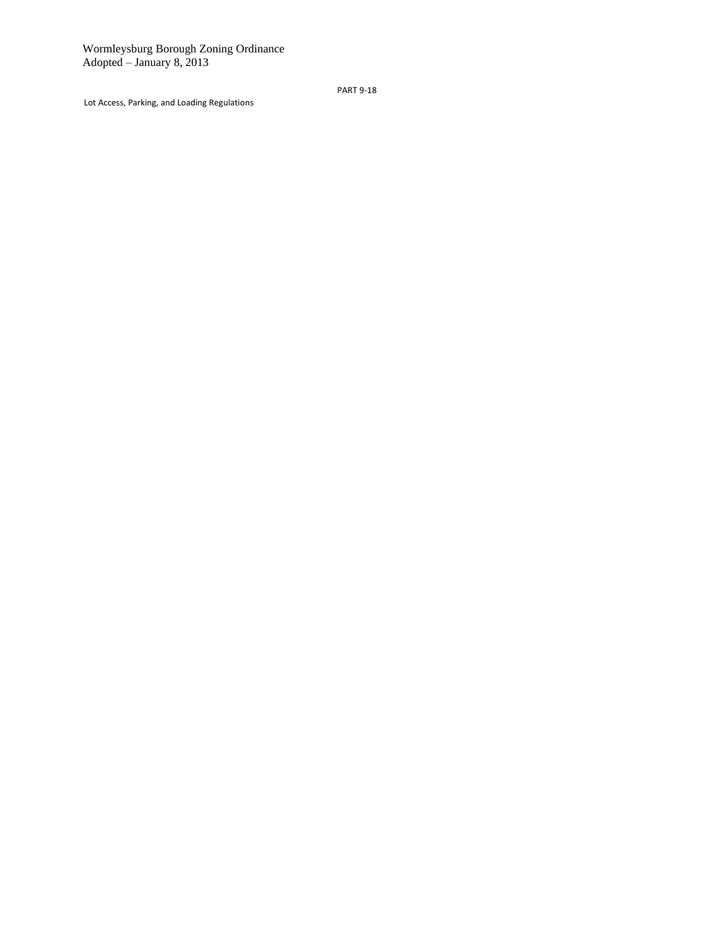PART 9-18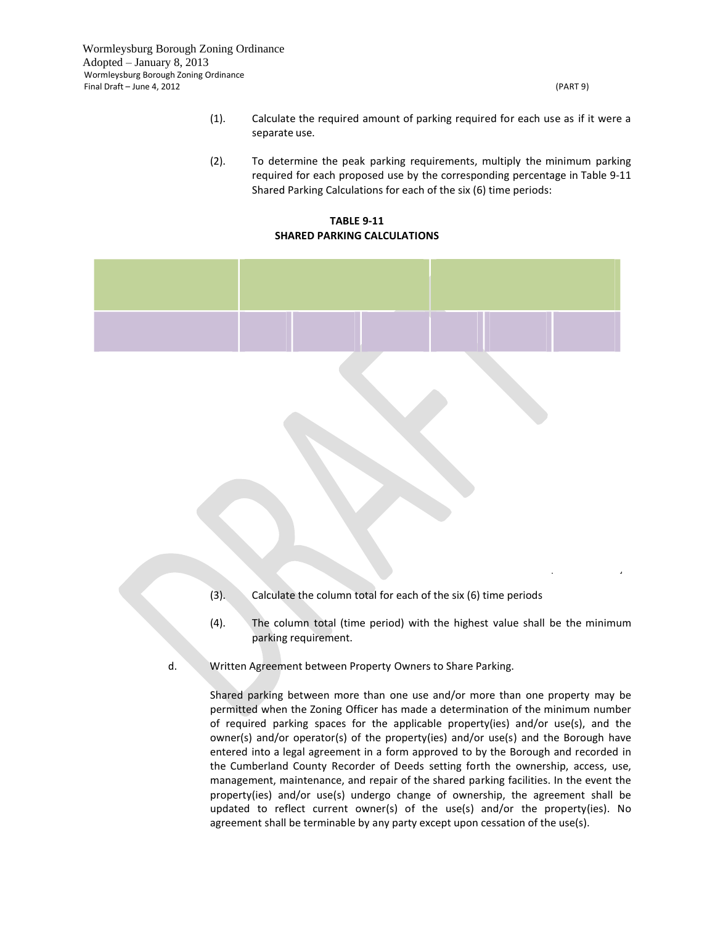- (1). Calculate the required amount of parking required for each use as if it were a separate use.
- (2). To determine the peak parking requirements, multiply the minimum parking required for each proposed use by the corresponding percentage in Table 9-11 Shared Parking Calculations for each of the six (6) time periods:

**TABLE 9-11 SHARED PARKING CALCULATIONS**



- (3). Calculate the column total for each of the six (6) time periods
- (4). The column total (time period) with the highest value shall be the minimum parking requirement.
- d. Written Agreement between Property Owners to Share Parking.

Shared parking between more than one use and/or more than one property may be permitted when the Zoning Officer has made a determination of the minimum number of required parking spaces for the applicable property(ies) and/or use(s), and the owner(s) and/or operator(s) of the property(ies) and/or use(s) and the Borough have entered into a legal agreement in a form approved to by the Borough and recorded in the Cumberland County Recorder of Deeds setting forth the ownership, access, use, management, maintenance, and repair of the shared parking facilities. In the event the property(ies) and/or use(s) undergo change of ownership, the agreement shall be updated to reflect current owner(s) of the use(s) and/or the property(ies). No agreement shall be terminable by any party except upon cessation of the use(s).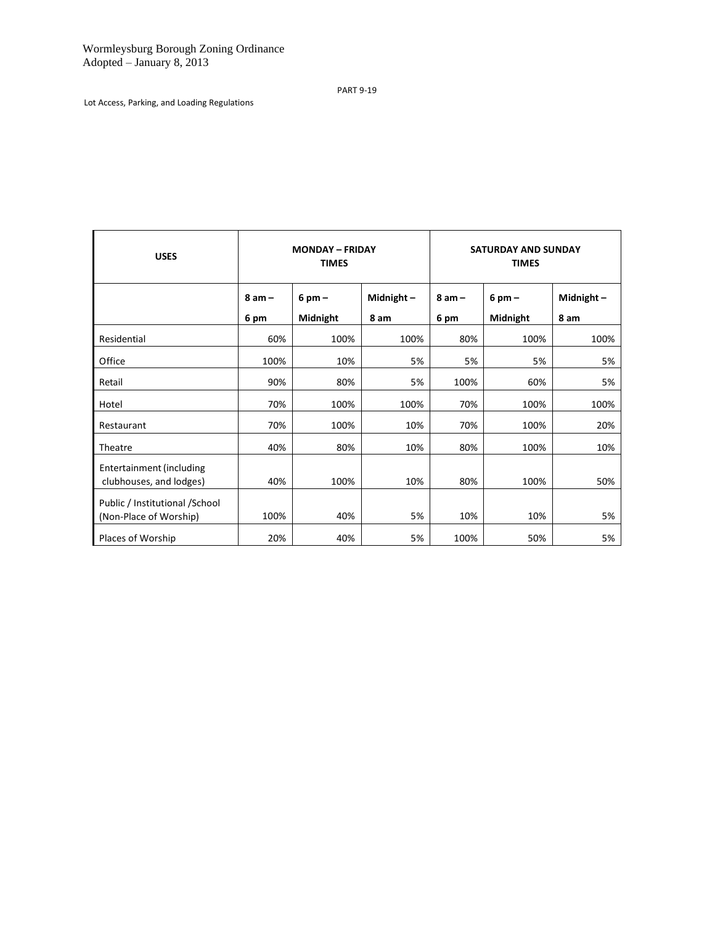| <b>USES</b>                                               | <b>MONDAY - FRIDAY</b><br><b>TIMES</b> |            |              | <b>SATURDAY AND SUNDAY</b><br><b>TIMES</b> |            |              |
|-----------------------------------------------------------|----------------------------------------|------------|--------------|--------------------------------------------|------------|--------------|
|                                                           | $8$ am $-$                             | $6$ pm $-$ | Midnight $-$ | $8$ am $-$                                 | $6$ pm $-$ | Midnight $-$ |
|                                                           | 6 pm                                   | Midnight   | 8 am         | 6 pm                                       | Midnight   | 8 am         |
| Residential                                               | 60%                                    | 100%       | 100%         | 80%                                        | 100%       | 100%         |
| Office                                                    | 100%                                   | 10%        | 5%           | 5%                                         | 5%         | 5%           |
| Retail                                                    | 90%                                    | 80%        | 5%           | 100%                                       | 60%        | 5%           |
| Hotel                                                     | 70%                                    | 100%       | 100%         | 70%                                        | 100%       | 100%         |
| Restaurant                                                | 70%                                    | 100%       | 10%          | 70%                                        | 100%       | 20%          |
| Theatre                                                   | 40%                                    | 80%        | 10%          | 80%                                        | 100%       | 10%          |
| Entertainment (including<br>clubhouses, and lodges)       | 40%                                    | 100%       | 10%          | 80%                                        | 100%       | 50%          |
| Public / Institutional / School<br>(Non-Place of Worship) | 100%                                   | 40%        | 5%           | 10%                                        | 10%        | 5%           |
| Places of Worship                                         | 20%                                    | 40%        | 5%           | 100%                                       | 50%        | 5%           |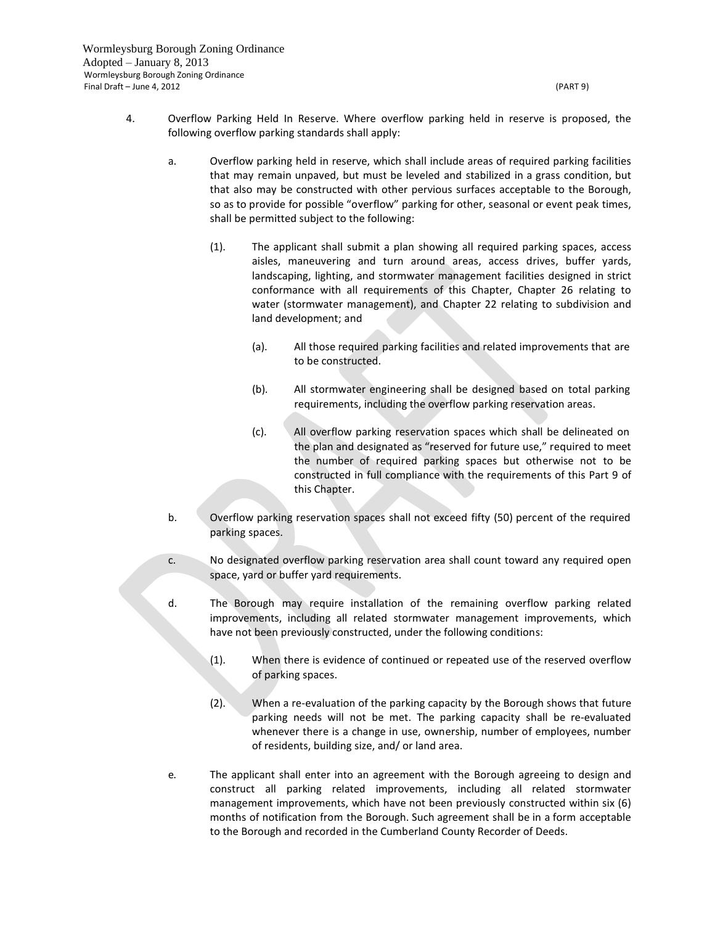- 4. Overflow Parking Held In Reserve. Where overflow parking held in reserve is proposed, the following overflow parking standards shall apply:
	- a. Overflow parking held in reserve, which shall include areas of required parking facilities that may remain unpaved, but must be leveled and stabilized in a grass condition, but that also may be constructed with other pervious surfaces acceptable to the Borough, so as to provide for possible "overflow" parking for other, seasonal or event peak times, shall be permitted subject to the following:
		- (1). The applicant shall submit a plan showing all required parking spaces, access aisles, maneuvering and turn around areas, access drives, buffer yards, landscaping, lighting, and stormwater management facilities designed in strict conformance with all requirements of this Chapter, Chapter 26 relating to water (stormwater management), and Chapter 22 relating to subdivision and land development; and
			- (a). All those required parking facilities and related improvements that are to be constructed.
			- (b). All stormwater engineering shall be designed based on total parking requirements, including the overflow parking reservation areas.
			- (c). All overflow parking reservation spaces which shall be delineated on the plan and designated as "reserved for future use," required to meet the number of required parking spaces but otherwise not to be constructed in full compliance with the requirements of this Part 9 of this Chapter.
	- b. Overflow parking reservation spaces shall not exceed fifty (50) percent of the required parking spaces.
	- c. No designated overflow parking reservation area shall count toward any required open space, yard or buffer yard requirements.
	- d. The Borough may require installation of the remaining overflow parking related improvements, including all related stormwater management improvements, which have not been previously constructed, under the following conditions:
		- (1). When there is evidence of continued or repeated use of the reserved overflow of parking spaces.
		- (2). When a re-evaluation of the parking capacity by the Borough shows that future parking needs will not be met. The parking capacity shall be re-evaluated whenever there is a change in use, ownership, number of employees, number of residents, building size, and/ or land area.
	- e. The applicant shall enter into an agreement with the Borough agreeing to design and construct all parking related improvements, including all related stormwater management improvements, which have not been previously constructed within six (6) months of notification from the Borough. Such agreement shall be in a form acceptable to the Borough and recorded in the Cumberland County Recorder of Deeds.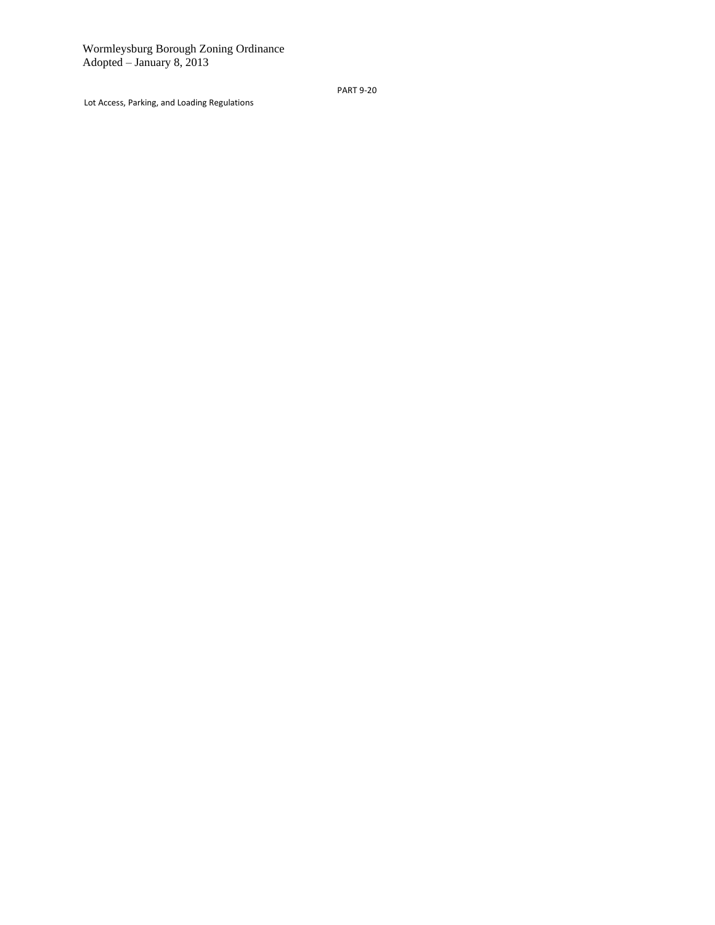PART 9-20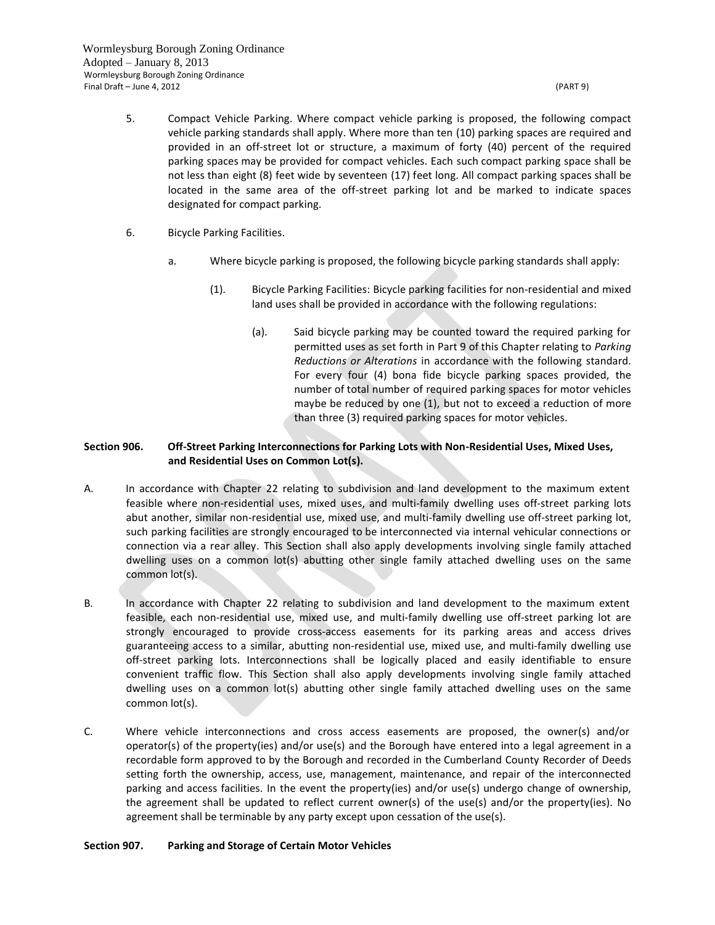- 5. Compact Vehicle Parking. Where compact vehicle parking is proposed, the following compact vehicle parking standards shall apply. Where more than ten (10) parking spaces are required and provided in an off-street lot or structure, a maximum of forty (40) percent of the required parking spaces may be provided for compact vehicles. Each such compact parking space shall be not less than eight (8) feet wide by seventeen (17) feet long. All compact parking spaces shall be located in the same area of the off-street parking lot and be marked to indicate spaces designated for compact parking.
- 6. Bicycle Parking Facilities.
	- a. Where bicycle parking is proposed, the following bicycle parking standards shall apply:
		- (1). Bicycle Parking Facilities: Bicycle parking facilities for non-residential and mixed land uses shall be provided in accordance with the following regulations:
			- (a). Said bicycle parking may be counted toward the required parking for permitted uses as set forth in Part 9 of this Chapter relating to *Parking Reductions or Alterations* in accordance with the following standard. For every four (4) bona fide bicycle parking spaces provided, the number of total number of required parking spaces for motor vehicles maybe be reduced by one (1), but not to exceed a reduction of more than three (3) required parking spaces for motor vehicles.

## **Section 906. Off-Street Parking Interconnections for Parking Lots with Non-Residential Uses, Mixed Uses, and Residential Uses on Common Lot(s).**

- A. In accordance with Chapter 22 relating to subdivision and land development to the maximum extent feasible where non-residential uses, mixed uses, and multi-family dwelling uses off-street parking lots abut another, similar non-residential use, mixed use, and multi-family dwelling use off-street parking lot, such parking facilities are strongly encouraged to be interconnected via internal vehicular connections or connection via a rear alley. This Section shall also apply developments involving single family attached dwelling uses on a common lot(s) abutting other single family attached dwelling uses on the same common lot(s).
- B. In accordance with Chapter 22 relating to subdivision and land development to the maximum extent feasible, each non-residential use, mixed use, and multi-family dwelling use off-street parking lot are strongly encouraged to provide cross-access easements for its parking areas and access drives guaranteeing access to a similar, abutting non-residential use, mixed use, and multi-family dwelling use off-street parking lots. Interconnections shall be logically placed and easily identifiable to ensure convenient traffic flow. This Section shall also apply developments involving single family attached dwelling uses on a common lot(s) abutting other single family attached dwelling uses on the same common lot(s).
- C. Where vehicle interconnections and cross access easements are proposed, the owner(s) and/or operator(s) of the property(ies) and/or use(s) and the Borough have entered into a legal agreement in a recordable form approved to by the Borough and recorded in the Cumberland County Recorder of Deeds setting forth the ownership, access, use, management, maintenance, and repair of the interconnected parking and access facilities. In the event the property(ies) and/or use(s) undergo change of ownership, the agreement shall be updated to reflect current owner(s) of the use(s) and/or the property(ies). No agreement shall be terminable by any party except upon cessation of the use(s).

### **Section 907. Parking and Storage of Certain Motor Vehicles**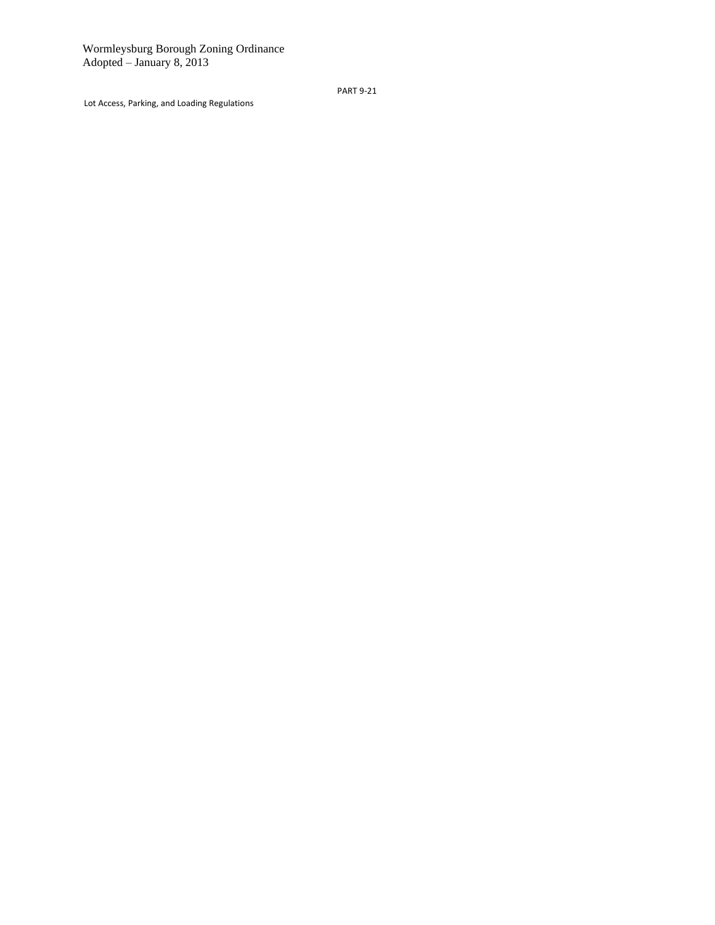PART 9-21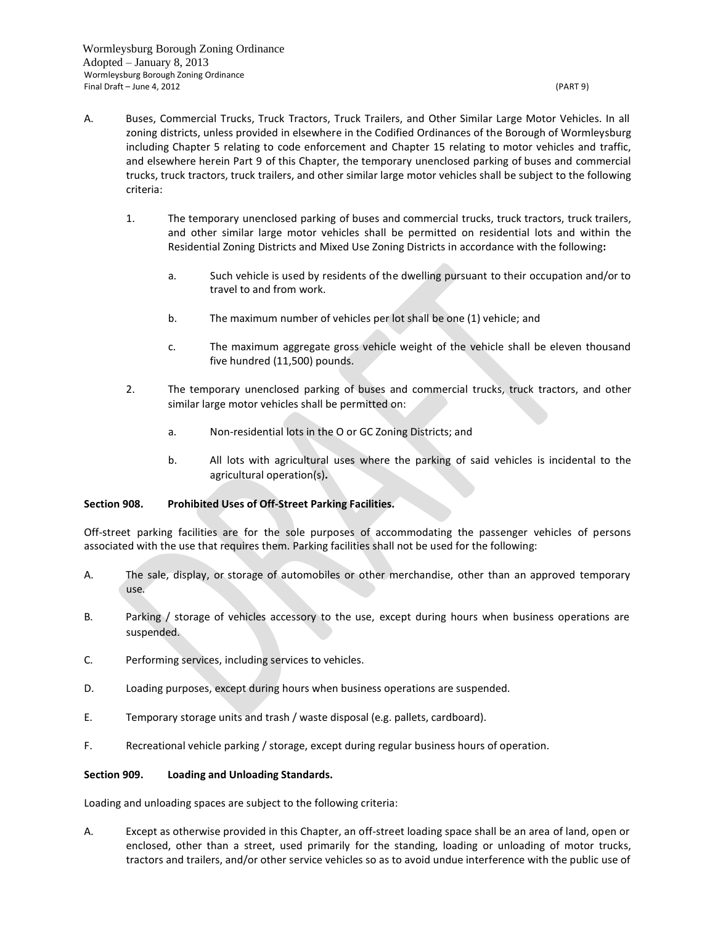- A. Buses, Commercial Trucks, Truck Tractors, Truck Trailers, and Other Similar Large Motor Vehicles. In all zoning districts, unless provided in elsewhere in the Codified Ordinances of the Borough of Wormleysburg including Chapter 5 relating to code enforcement and Chapter 15 relating to motor vehicles and traffic, and elsewhere herein Part 9 of this Chapter, the temporary unenclosed parking of buses and commercial trucks, truck tractors, truck trailers, and other similar large motor vehicles shall be subject to the following criteria:
	- 1. The temporary unenclosed parking of buses and commercial trucks, truck tractors, truck trailers, and other similar large motor vehicles shall be permitted on residential lots and within the Residential Zoning Districts and Mixed Use Zoning Districts in accordance with the following**:**
		- a. Such vehicle is used by residents of the dwelling pursuant to their occupation and/or to travel to and from work.
		- b. The maximum number of vehicles per lot shall be one (1) vehicle; and
		- c. The maximum aggregate gross vehicle weight of the vehicle shall be eleven thousand five hundred (11,500) pounds.
	- 2. The temporary unenclosed parking of buses and commercial trucks, truck tractors, and other similar large motor vehicles shall be permitted on:
		- a. Non-residential lots in the O or GC Zoning Districts; and
		- b. All lots with agricultural uses where the parking of said vehicles is incidental to the agricultural operation(s)**.**

### **Section 908. Prohibited Uses of Off-Street Parking Facilities.**

Off-street parking facilities are for the sole purposes of accommodating the passenger vehicles of persons associated with the use that requires them. Parking facilities shall not be used for the following:

- A. The sale, display, or storage of automobiles or other merchandise, other than an approved temporary use.
- B. Parking / storage of vehicles accessory to the use, except during hours when business operations are suspended.
- C. Performing services, including services to vehicles.
- D. Loading purposes, except during hours when business operations are suspended.
- E. Temporary storage units and trash / waste disposal (e.g. pallets, cardboard).
- F. Recreational vehicle parking / storage, except during regular business hours of operation.

### **Section 909. Loading and Unloading Standards.**

Loading and unloading spaces are subject to the following criteria:

A. Except as otherwise provided in this Chapter, an off-street loading space shall be an area of land, open or enclosed, other than a street, used primarily for the standing, loading or unloading of motor trucks, tractors and trailers, and/or other service vehicles so as to avoid undue interference with the public use of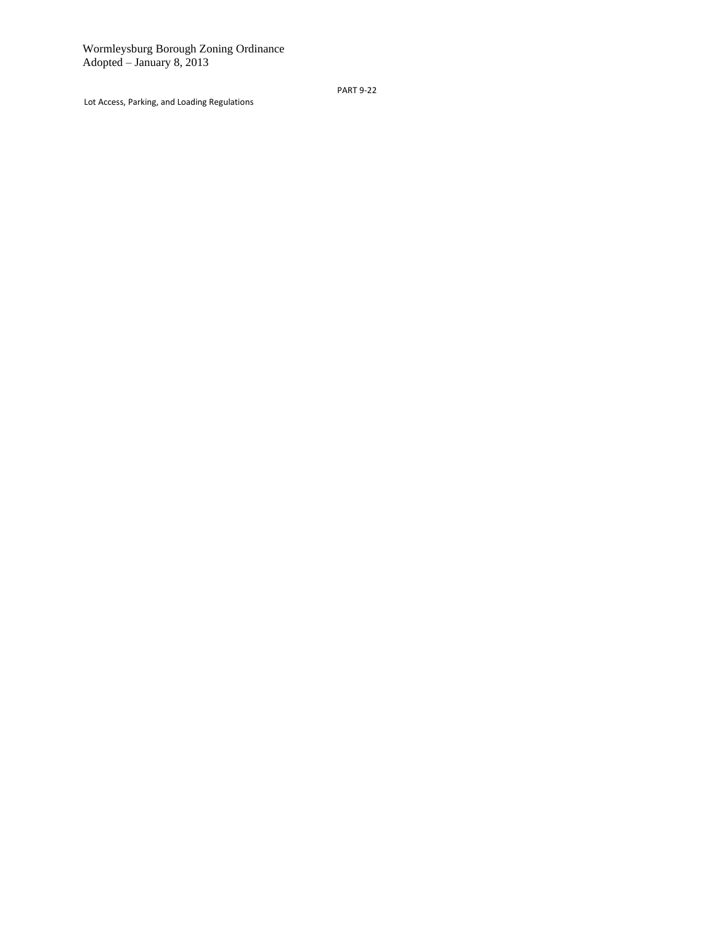Lot Access, Parking, and Loading Regulations

PART 9-22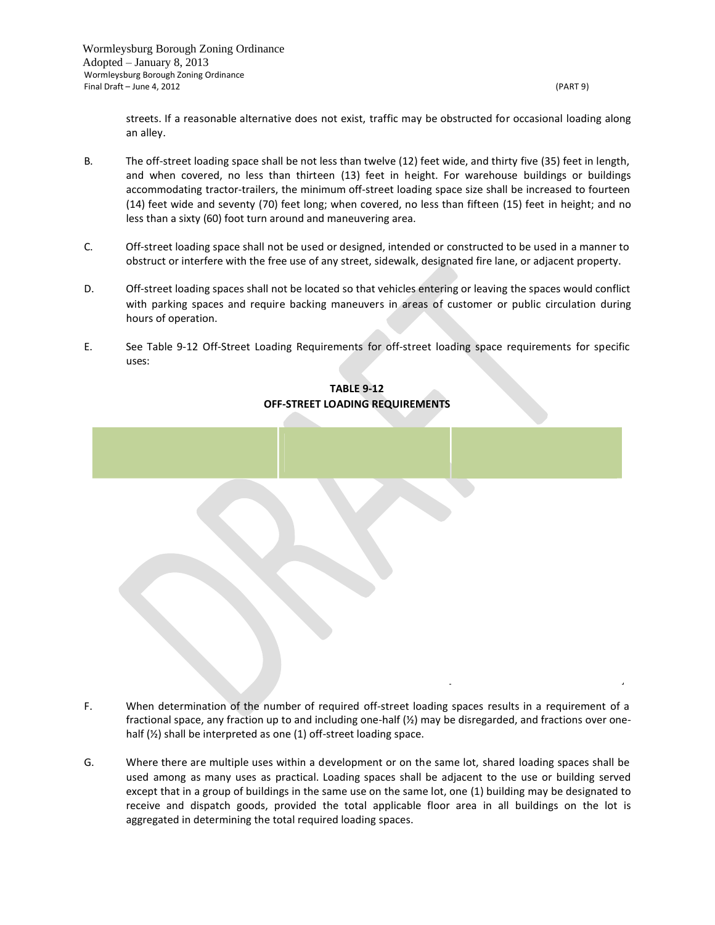streets. If a reasonable alternative does not exist, traffic may be obstructed for occasional loading along an alley.

- B. The off-street loading space shall be not less than twelve (12) feet wide, and thirty five (35) feet in length, and when covered, no less than thirteen (13) feet in height. For warehouse buildings or buildings accommodating tractor-trailers, the minimum off-street loading space size shall be increased to fourteen (14) feet wide and seventy (70) feet long; when covered, no less than fifteen (15) feet in height; and no less than a sixty (60) foot turn around and maneuvering area.
- C. Off-street loading space shall not be used or designed, intended or constructed to be used in a manner to obstruct or interfere with the free use of any street, sidewalk, designated fire lane, or adjacent property.
- D. Off-street loading spaces shall not be located so that vehicles entering or leaving the spaces would conflict with parking spaces and require backing maneuvers in areas of customer or public circulation during hours of operation.
- E. See Table 9-12 Off-Street Loading Requirements for off-street loading space requirements for specific uses:

# **TABLE 9-12 OFF-STREET LOADING REQUIREMENTS**



- F. When determination of the number of required off-street loading spaces results in a requirement of a fractional space, any fraction up to and including one-half (½) may be disregarded, and fractions over onehalf ( $\frac{1}{2}$ ) shall be interpreted as one (1) off-street loading space.
- G. Where there are multiple uses within a development or on the same lot, shared loading spaces shall be used among as many uses as practical. Loading spaces shall be adjacent to the use or building served except that in a group of buildings in the same use on the same lot, one (1) building may be designated to receive and dispatch goods, provided the total applicable floor area in all buildings on the lot is aggregated in determining the total required loading spaces.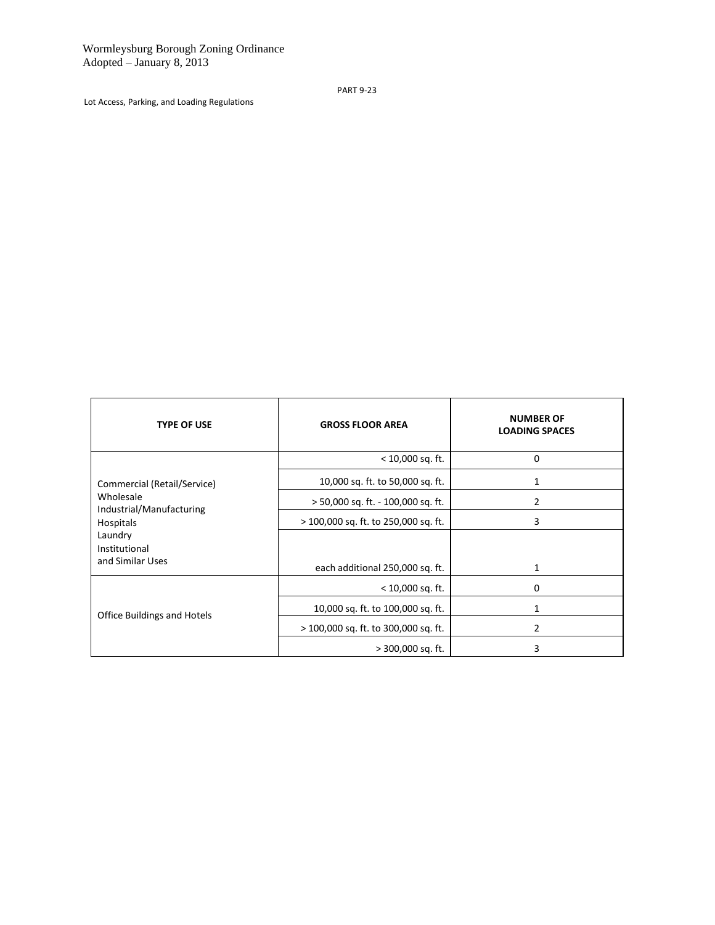PART 9-23

| <b>TYPE OF USE</b>                                                   | <b>GROSS FLOOR AREA</b>              | <b>NUMBER OF</b><br><b>LOADING SPACES</b> |
|----------------------------------------------------------------------|--------------------------------------|-------------------------------------------|
| Commercial (Retail/Service)<br>Wholesale<br>Industrial/Manufacturing | $< 10,000$ sq. ft.                   | 0                                         |
|                                                                      | 10,000 sq. ft. to 50,000 sq. ft.     | 1                                         |
|                                                                      | > 50,000 sq. ft. - 100,000 sq. ft.   | 2                                         |
| Hospitals                                                            | > 100,000 sq. ft. to 250,000 sq. ft. | 3                                         |
| Laundry<br>Institutional<br>and Similar Uses                         |                                      |                                           |
|                                                                      | each additional 250,000 sq. ft.      | 1                                         |
| <b>Office Buildings and Hotels</b>                                   | $<$ 10,000 sq. ft.                   | 0                                         |
|                                                                      | 10,000 sq. ft. to 100,000 sq. ft.    | 1                                         |
|                                                                      | > 100,000 sq. ft. to 300,000 sq. ft. | $\overline{2}$                            |
|                                                                      | > 300,000 sq. ft.                    | 3                                         |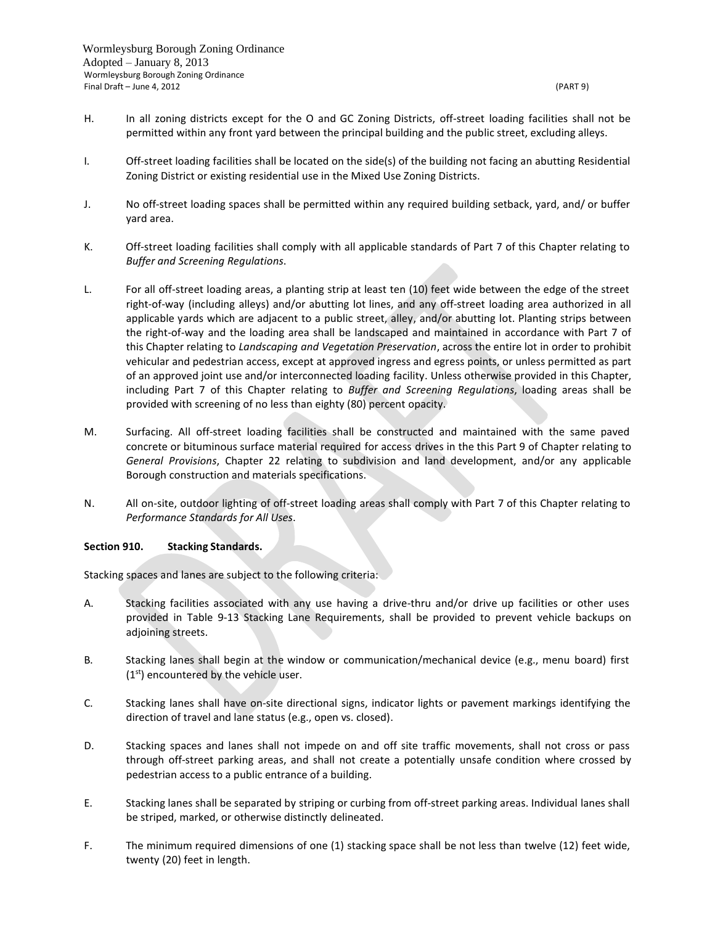- H. In all zoning districts except for the O and GC Zoning Districts, off-street loading facilities shall not be permitted within any front yard between the principal building and the public street, excluding alleys.
- I. Off-street loading facilities shall be located on the side(s) of the building not facing an abutting Residential Zoning District or existing residential use in the Mixed Use Zoning Districts.
- J. No off-street loading spaces shall be permitted within any required building setback, yard, and/ or buffer yard area.
- K. Off-street loading facilities shall comply with all applicable standards of Part 7 of this Chapter relating to *Buffer and Screening Regulations*.
- L. For all off-street loading areas, a planting strip at least ten (10) feet wide between the edge of the street right-of-way (including alleys) and/or abutting lot lines, and any off-street loading area authorized in all applicable yards which are adjacent to a public street, alley, and/or abutting lot. Planting strips between the right-of-way and the loading area shall be landscaped and maintained in accordance with Part 7 of this Chapter relating to *Landscaping and Vegetation Preservation*, across the entire lot in order to prohibit vehicular and pedestrian access, except at approved ingress and egress points, or unless permitted as part of an approved joint use and/or interconnected loading facility. Unless otherwise provided in this Chapter, including Part 7 of this Chapter relating to *Buffer and Screening Regulations*, loading areas shall be provided with screening of no less than eighty (80) percent opacity.
- M. Surfacing. All off-street loading facilities shall be constructed and maintained with the same paved concrete or bituminous surface material required for access drives in the this Part 9 of Chapter relating to *General Provisions*, Chapter 22 relating to subdivision and land development, and/or any applicable Borough construction and materials specifications.
- N. All on-site, outdoor lighting of off-street loading areas shall comply with Part 7 of this Chapter relating to *Performance Standards for All Uses*.

## **Section 910. Stacking Standards.**

Stacking spaces and lanes are subject to the following criteria:

- A. Stacking facilities associated with any use having a drive-thru and/or drive up facilities or other uses provided in Table 9-13 Stacking Lane Requirements, shall be provided to prevent vehicle backups on adjoining streets.
- B. Stacking lanes shall begin at the window or communication/mechanical device (e.g., menu board) first  $(1<sup>st</sup>)$  encountered by the vehicle user.
- C. Stacking lanes shall have on-site directional signs, indicator lights or pavement markings identifying the direction of travel and lane status (e.g., open vs. closed).
- D. Stacking spaces and lanes shall not impede on and off site traffic movements, shall not cross or pass through off-street parking areas, and shall not create a potentially unsafe condition where crossed by pedestrian access to a public entrance of a building.
- E. Stacking lanes shall be separated by striping or curbing from off-street parking areas. Individual lanes shall be striped, marked, or otherwise distinctly delineated.
- F. The minimum required dimensions of one (1) stacking space shall be not less than twelve (12) feet wide, twenty (20) feet in length.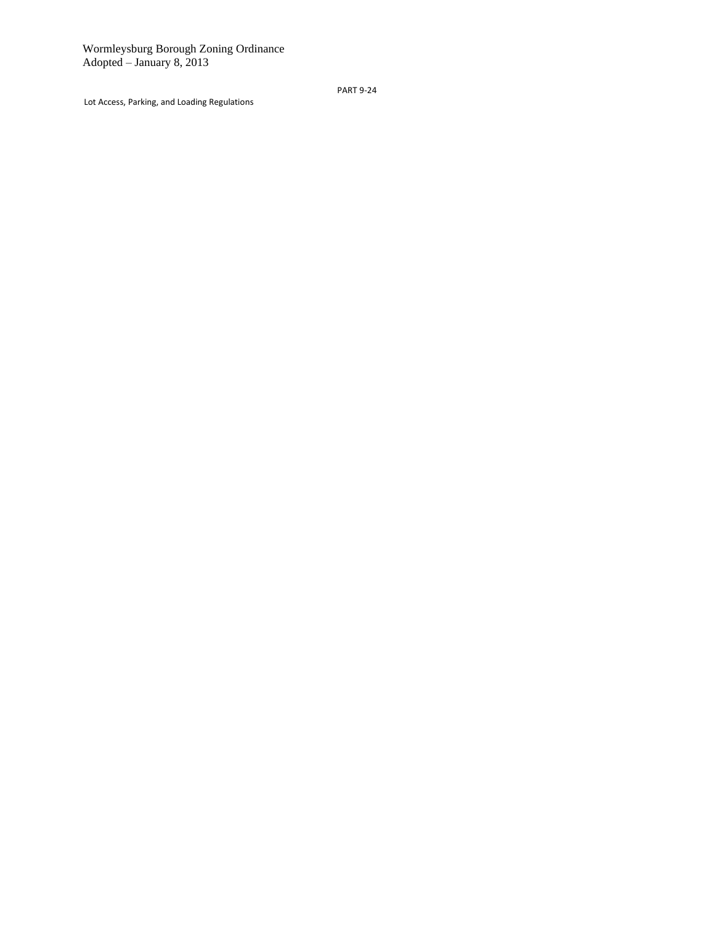PART 9-24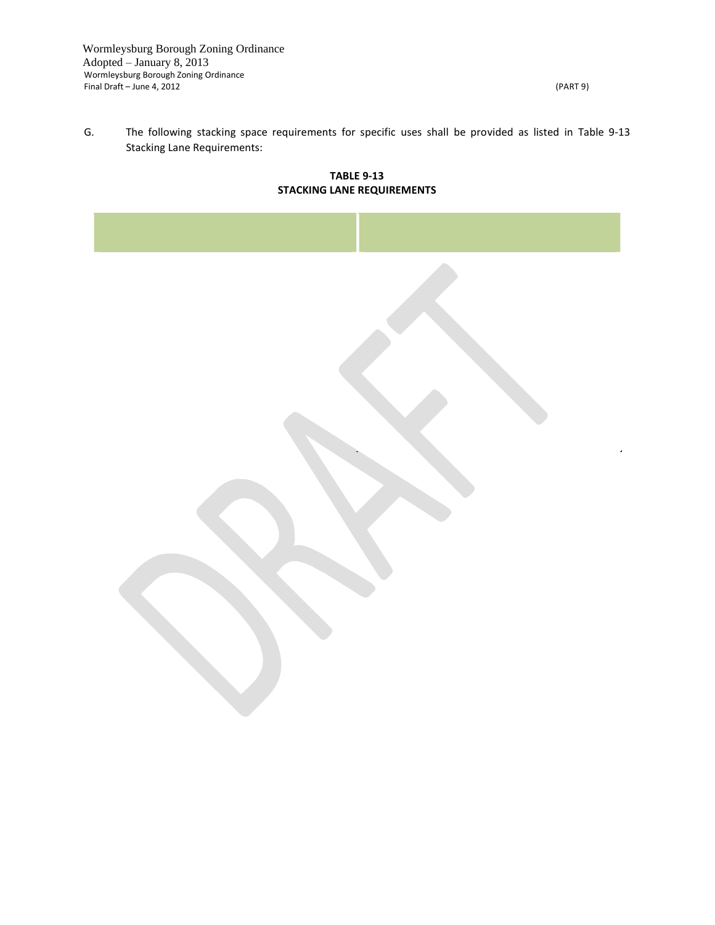G. The following stacking space requirements for specific uses shall be provided as listed in Table 9-13 Stacking Lane Requirements: